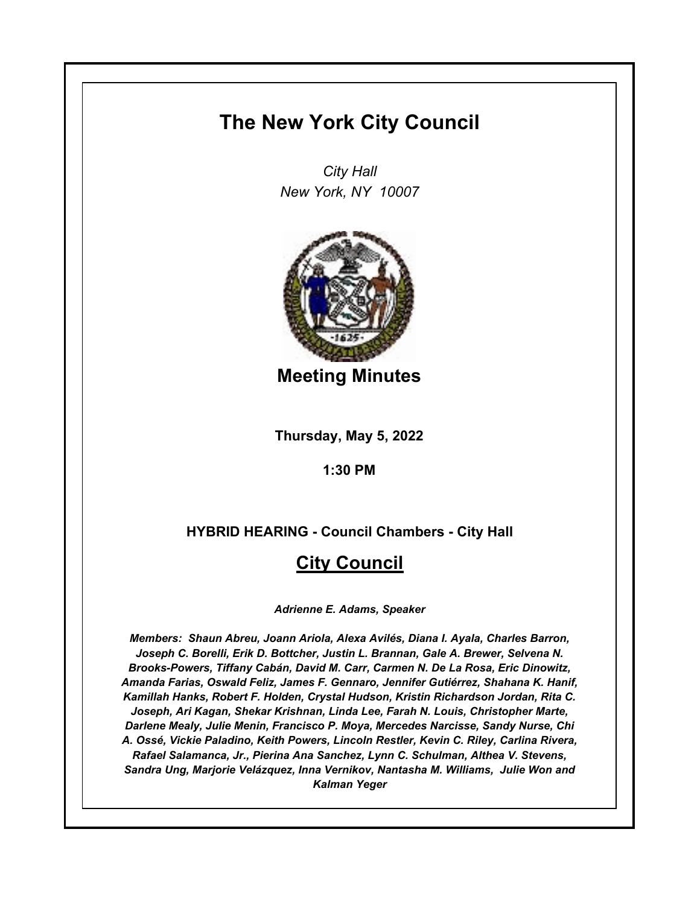# **The New York City Council**

*City Hall New York, NY 10007*



**Meeting Minutes**

**Thursday, May 5, 2022**

**1:30 PM**

## **HYBRID HEARING - Council Chambers - City Hall**

## **City Council**

*Adrienne E. Adams, Speaker*

*Members: Shaun Abreu, Joann Ariola, Alexa Avilés, Diana I. Ayala, Charles Barron, Joseph C. Borelli, Erik D. Bottcher, Justin L. Brannan, Gale A. Brewer, Selvena N. Brooks-Powers, Tiffany Cabán, David M. Carr, Carmen N. De La Rosa, Eric Dinowitz, Amanda Farias, Oswald Feliz, James F. Gennaro, Jennifer Gutiérrez, Shahana K. Hanif, Kamillah Hanks, Robert F. Holden, Crystal Hudson, Kristin Richardson Jordan, Rita C. Joseph, Ari Kagan, Shekar Krishnan, Linda Lee, Farah N. Louis, Christopher Marte, Darlene Mealy, Julie Menin, Francisco P. Moya, Mercedes Narcisse, Sandy Nurse, Chi A. Ossé, Vickie Paladino, Keith Powers, Lincoln Restler, Kevin C. Riley, Carlina Rivera, Rafael Salamanca, Jr., Pierina Ana Sanchez, Lynn C. Schulman, Althea V. Stevens, Sandra Ung, Marjorie Velázquez, Inna Vernikov, Nantasha M. Williams, Julie Won and Kalman Yeger*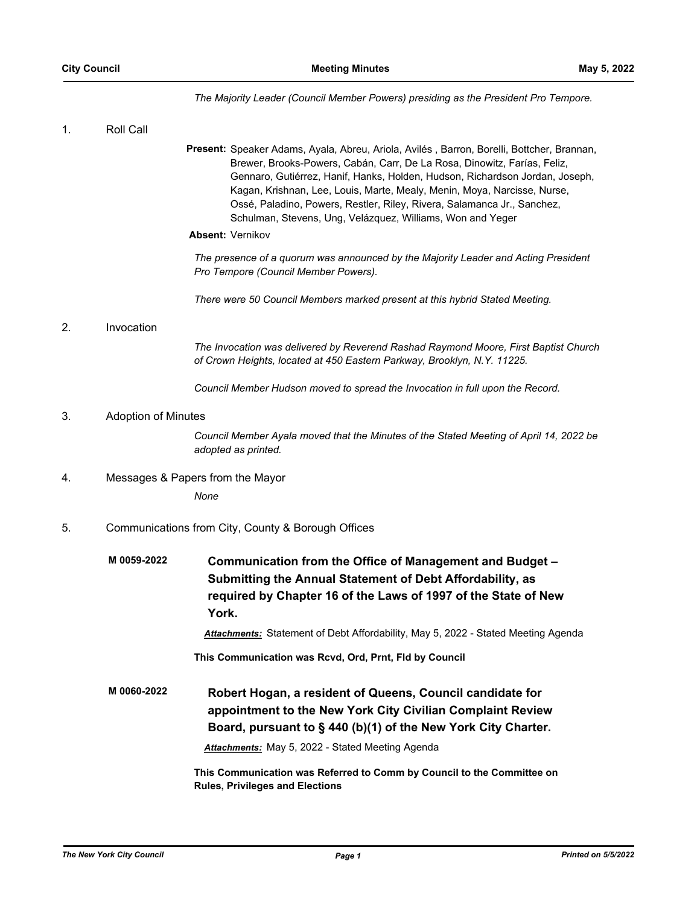*The Majority Leader (Council Member Powers) presiding as the President Pro Tempore.*

| 1. | Roll Call                  |                                                                                                                                                                                                                                                                                                                                                                                                                                                                            |
|----|----------------------------|----------------------------------------------------------------------------------------------------------------------------------------------------------------------------------------------------------------------------------------------------------------------------------------------------------------------------------------------------------------------------------------------------------------------------------------------------------------------------|
|    |                            | Present: Speaker Adams, Ayala, Abreu, Ariola, Avilés, Barron, Borelli, Bottcher, Brannan,<br>Brewer, Brooks-Powers, Cabán, Carr, De La Rosa, Dinowitz, Farías, Feliz,<br>Gennaro, Gutiérrez, Hanif, Hanks, Holden, Hudson, Richardson Jordan, Joseph,<br>Kagan, Krishnan, Lee, Louis, Marte, Mealy, Menin, Moya, Narcisse, Nurse,<br>Ossé, Paladino, Powers, Restler, Riley, Rivera, Salamanca Jr., Sanchez,<br>Schulman, Stevens, Ung, Velázquez, Williams, Won and Yeger |
|    |                            | Absent: Vernikov                                                                                                                                                                                                                                                                                                                                                                                                                                                           |
|    |                            | The presence of a quorum was announced by the Majority Leader and Acting President<br>Pro Tempore (Council Member Powers).                                                                                                                                                                                                                                                                                                                                                 |
|    |                            | There were 50 Council Members marked present at this hybrid Stated Meeting.                                                                                                                                                                                                                                                                                                                                                                                                |
| 2. | Invocation                 |                                                                                                                                                                                                                                                                                                                                                                                                                                                                            |
|    |                            | The Invocation was delivered by Reverend Rashad Raymond Moore, First Baptist Church<br>of Crown Heights, located at 450 Eastern Parkway, Brooklyn, N.Y. 11225.                                                                                                                                                                                                                                                                                                             |
|    |                            | Council Member Hudson moved to spread the Invocation in full upon the Record.                                                                                                                                                                                                                                                                                                                                                                                              |
| 3. | <b>Adoption of Minutes</b> |                                                                                                                                                                                                                                                                                                                                                                                                                                                                            |
|    |                            | Council Member Ayala moved that the Minutes of the Stated Meeting of April 14, 2022 be<br>adopted as printed.                                                                                                                                                                                                                                                                                                                                                              |
| 4. |                            | Messages & Papers from the Mayor                                                                                                                                                                                                                                                                                                                                                                                                                                           |
|    |                            | None                                                                                                                                                                                                                                                                                                                                                                                                                                                                       |
| 5. |                            | Communications from City, County & Borough Offices                                                                                                                                                                                                                                                                                                                                                                                                                         |
|    | M 0059-2022                | Communication from the Office of Management and Budget -<br>Submitting the Annual Statement of Debt Affordability, as<br>required by Chapter 16 of the Laws of 1997 of the State of New<br>York.                                                                                                                                                                                                                                                                           |
|    |                            | Attachments: Statement of Debt Affordability, May 5, 2022 - Stated Meeting Agenda                                                                                                                                                                                                                                                                                                                                                                                          |
|    |                            | This Communication was Rcvd, Ord, Prnt, Fld by Council                                                                                                                                                                                                                                                                                                                                                                                                                     |
|    | M 0060-2022                | Robert Hogan, a resident of Queens, Council candidate for<br>appointment to the New York City Civilian Complaint Review<br>Board, pursuant to § 440 (b)(1) of the New York City Charter.<br>Attachments: May 5, 2022 - Stated Meeting Agenda<br>This Communication was Referred to Comm by Council to the Committee on<br><b>Rules, Privileges and Elections</b>                                                                                                           |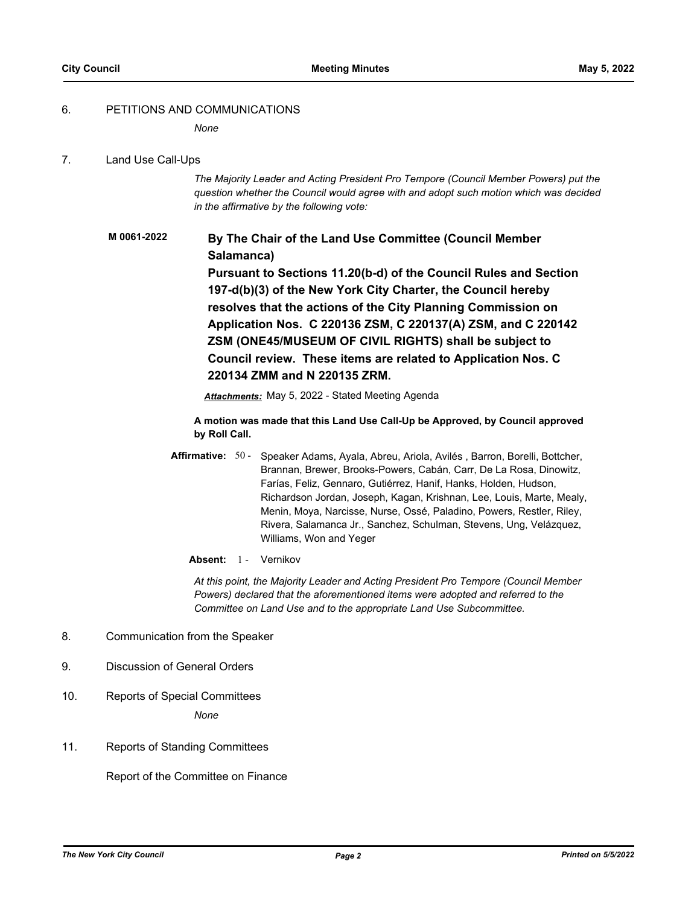#### 6. PETITIONS AND COMMUNICATIONS

*None*

#### 7. Land Use Call-Ups

*The Majority Leader and Acting President Pro Tempore (Council Member Powers) put the question whether the Council would agree with and adopt such motion which was decided in the affirmative by the following vote:*

## **By The Chair of the Land Use Committee (Council Member Salamanca) Pursuant to Sections 11.20(b-d) of the Council Rules and Section 197-d(b)(3) of the New York City Charter, the Council hereby resolves that the actions of the City Planning Commission on Application Nos. C 220136 ZSM, C 220137(A) ZSM, and C 220142 ZSM (ONE45/MUSEUM OF CIVIL RIGHTS) shall be subject to Council review. These items are related to Application Nos. C 220134 ZMM and N 220135 ZRM. M 0061-2022**

*Attachments:* May 5, 2022 - Stated Meeting Agenda

**A motion was made that this Land Use Call-Up be Approved, by Council approved by Roll Call.**

- **Affirmative:** Speaker Adams, Ayala, Abreu, Ariola, Avilés , Barron, Borelli, Bottcher, Brannan, Brewer, Brooks-Powers, Cabán, Carr, De La Rosa, Dinowitz, Farías, Feliz, Gennaro, Gutiérrez, Hanif, Hanks, Holden, Hudson, Richardson Jordan, Joseph, Kagan, Krishnan, Lee, Louis, Marte, Mealy, Menin, Moya, Narcisse, Nurse, Ossé, Paladino, Powers, Restler, Riley, Rivera, Salamanca Jr., Sanchez, Schulman, Stevens, Ung, Velázquez, Williams, Won and Yeger Affirmative: 50 -
	- Absent: 1 Vernikov

*At this point, the Majority Leader and Acting President Pro Tempore (Council Member Powers) declared that the aforementioned items were adopted and referred to the Committee on Land Use and to the appropriate Land Use Subcommittee.*

- 8. Communication from the Speaker
- 9. Discussion of General Orders
- 10. Reports of Special Committees

*None*

11. Reports of Standing Committees

Report of the Committee on Finance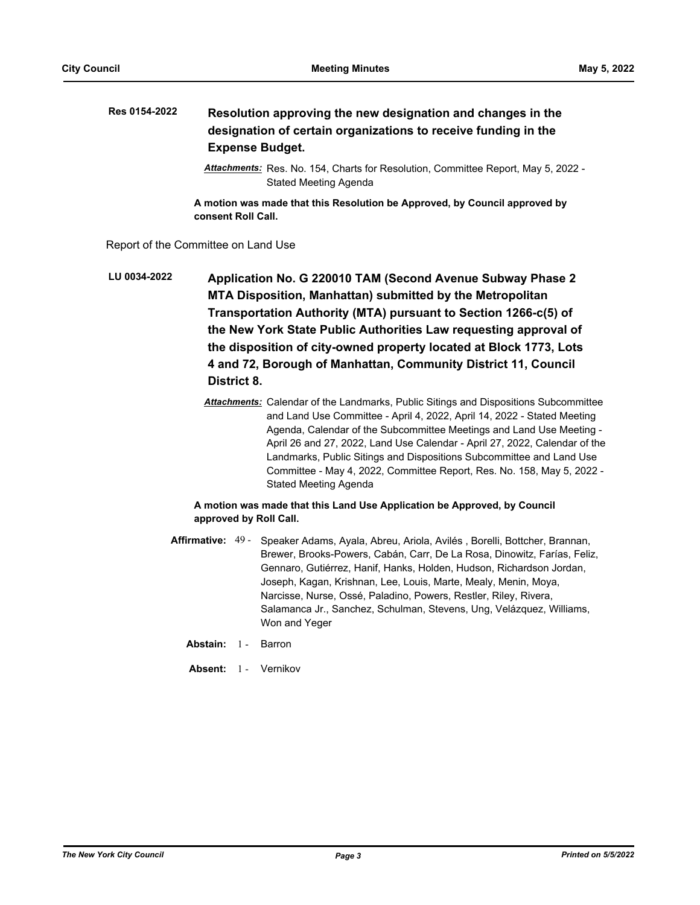#### **Resolution approving the new designation and changes in the designation of certain organizations to receive funding in the Expense Budget. Res 0154-2022**

*Attachments:* Res. No. 154, Charts for Resolution, Committee Report, May 5, 2022 - Stated Meeting Agenda

**A motion was made that this Resolution be Approved, by Council approved by consent Roll Call.**

Report of the Committee on Land Use

**Application No. G 220010 TAM (Second Avenue Subway Phase 2 MTA Disposition, Manhattan) submitted by the Metropolitan Transportation Authority (MTA) pursuant to Section 1266-c(5) of the New York State Public Authorities Law requesting approval of the disposition of city-owned property located at Block 1773, Lots 4 and 72, Borough of Manhattan, Community District 11, Council District 8. LU 0034-2022**

> *Attachments:* Calendar of the Landmarks, Public Sitings and Dispositions Subcommittee and Land Use Committee - April 4, 2022, April 14, 2022 - Stated Meeting Agenda, Calendar of the Subcommittee Meetings and Land Use Meeting - April 26 and 27, 2022, Land Use Calendar - April 27, 2022, Calendar of the Landmarks, Public Sitings and Dispositions Subcommittee and Land Use Committee - May 4, 2022, Committee Report, Res. No. 158, May 5, 2022 - Stated Meeting Agenda

## **A motion was made that this Land Use Application be Approved, by Council approved by Roll Call.**

- Affirmative: 49 Speaker Adams, Ayala, Abreu, Ariola, Avilés, Borelli, Bottcher, Brannan, Brewer, Brooks-Powers, Cabán, Carr, De La Rosa, Dinowitz, Farías, Feliz, Gennaro, Gutiérrez, Hanif, Hanks, Holden, Hudson, Richardson Jordan, Joseph, Kagan, Krishnan, Lee, Louis, Marte, Mealy, Menin, Moya, Narcisse, Nurse, Ossé, Paladino, Powers, Restler, Riley, Rivera, Salamanca Jr., Sanchez, Schulman, Stevens, Ung, Velázquez, Williams, Won and Yeger
	- **Abstain:** 1 Barron
	- Absent: 1 Vernikov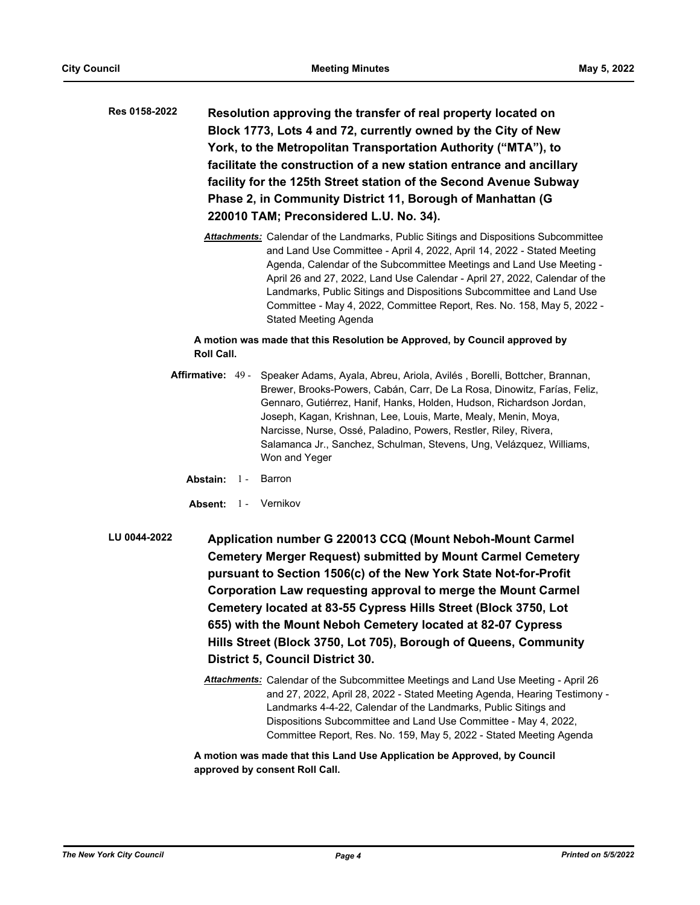| Res 0158-2022 | Resolution approving the transfer of real property located on       |
|---------------|---------------------------------------------------------------------|
|               | Block 1773, Lots 4 and 72, currently owned by the City of New       |
|               | York, to the Metropolitan Transportation Authority ("MTA"), to      |
|               | facilitate the construction of a new station entrance and ancillary |
|               | facility for the 125th Street station of the Second Avenue Subway   |
|               | Phase 2, in Community District 11, Borough of Manhattan (G)         |
|               | 220010 TAM; Preconsidered L.U. No. 34).                             |
|               |                                                                     |

*Attachments:* Calendar of the Landmarks, Public Sitings and Dispositions Subcommittee and Land Use Committee - April 4, 2022, April 14, 2022 - Stated Meeting Agenda, Calendar of the Subcommittee Meetings and Land Use Meeting - April 26 and 27, 2022, Land Use Calendar - April 27, 2022, Calendar of the Landmarks, Public Sitings and Dispositions Subcommittee and Land Use Committee - May 4, 2022, Committee Report, Res. No. 158, May 5, 2022 - Stated Meeting Agenda

#### **A motion was made that this Resolution be Approved, by Council approved by Roll Call.**

- Speaker Adams, Ayala, Abreu, Ariola, Avilés, Borelli, Bottcher, Brannan, Brewer, Brooks-Powers, Cabán, Carr, De La Rosa, Dinowitz, Farías, Feliz, Gennaro, Gutiérrez, Hanif, Hanks, Holden, Hudson, Richardson Jordan, Joseph, Kagan, Krishnan, Lee, Louis, Marte, Mealy, Menin, Moya, Narcisse, Nurse, Ossé, Paladino, Powers, Restler, Riley, Rivera, Salamanca Jr., Sanchez, Schulman, Stevens, Ung, Velázquez, Williams, Won and Yeger Affirmative: 49 -
	- **Abstain:** 1 Barron
	- **Absent:** 1 Vernikov
- **Application number G 220013 CCQ (Mount Neboh-Mount Carmel Cemetery Merger Request) submitted by Mount Carmel Cemetery pursuant to Section 1506(c) of the New York State Not-for-Profit Corporation Law requesting approval to merge the Mount Carmel Cemetery located at 83-55 Cypress Hills Street (Block 3750, Lot 655) with the Mount Neboh Cemetery located at 82-07 Cypress Hills Street (Block 3750, Lot 705), Borough of Queens, Community District 5, Council District 30. LU 0044-2022**
	- *Attachments:* Calendar of the Subcommittee Meetings and Land Use Meeting April 26 and 27, 2022, April 28, 2022 - Stated Meeting Agenda, Hearing Testimony - Landmarks 4-4-22, Calendar of the Landmarks, Public Sitings and Dispositions Subcommittee and Land Use Committee - May 4, 2022, Committee Report, Res. No. 159, May 5, 2022 - Stated Meeting Agenda

**A motion was made that this Land Use Application be Approved, by Council approved by consent Roll Call.**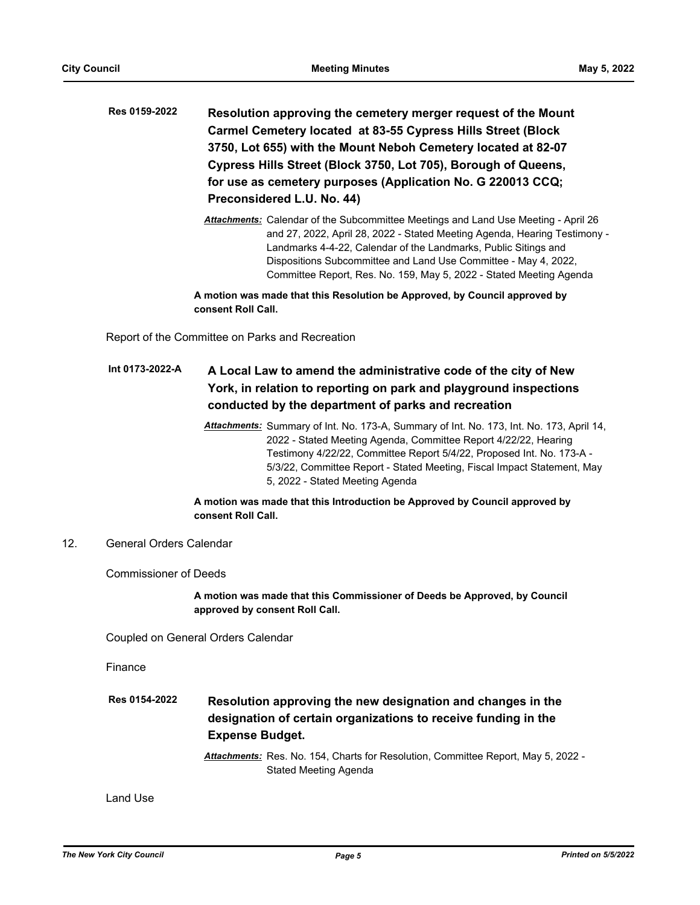- **Resolution approving the cemetery merger request of the Mount Carmel Cemetery located at 83-55 Cypress Hills Street (Block 3750, Lot 655) with the Mount Neboh Cemetery located at 82-07 Cypress Hills Street (Block 3750, Lot 705), Borough of Queens, for use as cemetery purposes (Application No. G 220013 CCQ; Preconsidered L.U. No. 44) Res 0159-2022**
	- *Attachments:* Calendar of the Subcommittee Meetings and Land Use Meeting April 26 and 27, 2022, April 28, 2022 - Stated Meeting Agenda, Hearing Testimony - Landmarks 4-4-22, Calendar of the Landmarks, Public Sitings and Dispositions Subcommittee and Land Use Committee - May 4, 2022, Committee Report, Res. No. 159, May 5, 2022 - Stated Meeting Agenda

**A motion was made that this Resolution be Approved, by Council approved by consent Roll Call.**

Report of the Committee on Parks and Recreation

#### **A Local Law to amend the administrative code of the city of New York, in relation to reporting on park and playground inspections conducted by the department of parks and recreation Int 0173-2022-A**

*Attachments:* Summary of Int. No. 173-A, Summary of Int. No. 173, Int. No. 173, April 14, 2022 - Stated Meeting Agenda, Committee Report 4/22/22, Hearing Testimony 4/22/22, Committee Report 5/4/22, Proposed Int. No. 173-A - 5/3/22, Committee Report - Stated Meeting, Fiscal Impact Statement, May 5, 2022 - Stated Meeting Agenda

## **A motion was made that this Introduction be Approved by Council approved by consent Roll Call.**

## 12. General Orders Calendar

Commissioner of Deeds

**A motion was made that this Commissioner of Deeds be Approved, by Council approved by consent Roll Call.**

Coupled on General Orders Calendar

Finance

**Resolution approving the new designation and changes in the designation of certain organizations to receive funding in the Expense Budget. Res 0154-2022**

> *Attachments:* Res. No. 154, Charts for Resolution, Committee Report, May 5, 2022 - Stated Meeting Agenda

Land Use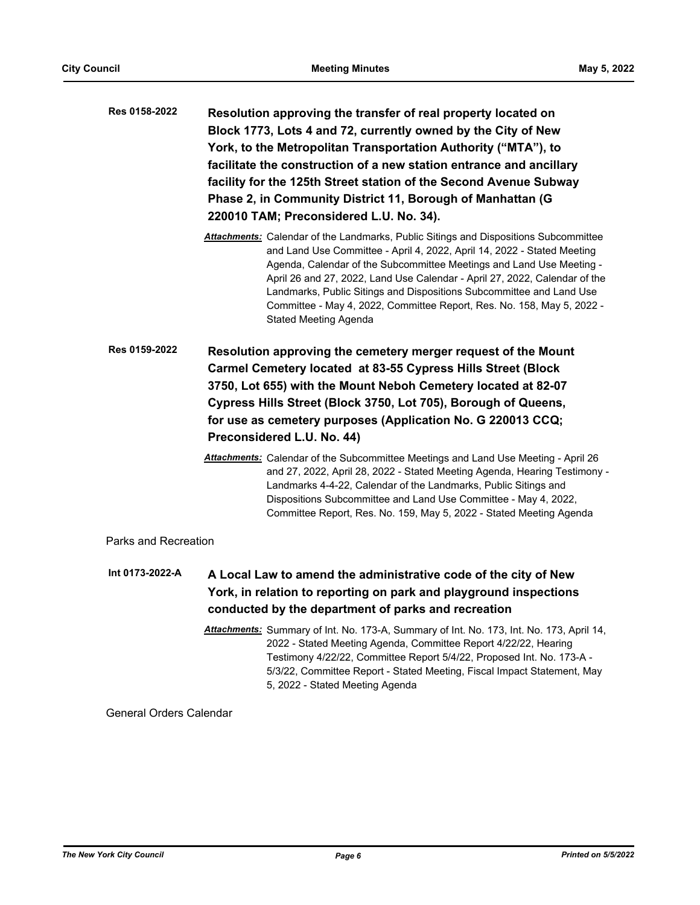| Res 0158-2022 | Resolution approving the transfer of real property located on       |  |  |  |
|---------------|---------------------------------------------------------------------|--|--|--|
|               | Block 1773, Lots 4 and 72, currently owned by the City of New       |  |  |  |
|               | York, to the Metropolitan Transportation Authority ("MTA"), to      |  |  |  |
|               | facilitate the construction of a new station entrance and ancillary |  |  |  |
|               | facility for the 125th Street station of the Second Avenue Subway   |  |  |  |
|               | Phase 2, in Community District 11, Borough of Manhattan (G)         |  |  |  |
|               | 220010 TAM; Preconsidered L.U. No. 34).                             |  |  |  |
|               |                                                                     |  |  |  |

- *Attachments:* Calendar of the Landmarks, Public Sitings and Dispositions Subcommittee and Land Use Committee - April 4, 2022, April 14, 2022 - Stated Meeting Agenda, Calendar of the Subcommittee Meetings and Land Use Meeting - April 26 and 27, 2022, Land Use Calendar - April 27, 2022, Calendar of the Landmarks, Public Sitings and Dispositions Subcommittee and Land Use Committee - May 4, 2022, Committee Report, Res. No. 158, May 5, 2022 - Stated Meeting Agenda
- **Resolution approving the cemetery merger request of the Mount Carmel Cemetery located at 83-55 Cypress Hills Street (Block 3750, Lot 655) with the Mount Neboh Cemetery located at 82-07 Cypress Hills Street (Block 3750, Lot 705), Borough of Queens, for use as cemetery purposes (Application No. G 220013 CCQ; Preconsidered L.U. No. 44) Res 0159-2022**
	- *Attachments:* Calendar of the Subcommittee Meetings and Land Use Meeting April 26 and 27, 2022, April 28, 2022 - Stated Meeting Agenda, Hearing Testimony - Landmarks 4-4-22, Calendar of the Landmarks, Public Sitings and Dispositions Subcommittee and Land Use Committee - May 4, 2022, Committee Report, Res. No. 159, May 5, 2022 - Stated Meeting Agenda

## Parks and Recreation

- **A Local Law to amend the administrative code of the city of New York, in relation to reporting on park and playground inspections conducted by the department of parks and recreation Int 0173-2022-A**
	- *Attachments:* Summary of Int. No. 173-A, Summary of Int. No. 173, Int. No. 173, April 14, 2022 - Stated Meeting Agenda, Committee Report 4/22/22, Hearing Testimony 4/22/22, Committee Report 5/4/22, Proposed Int. No. 173-A - 5/3/22, Committee Report - Stated Meeting, Fiscal Impact Statement, May 5, 2022 - Stated Meeting Agenda

## General Orders Calendar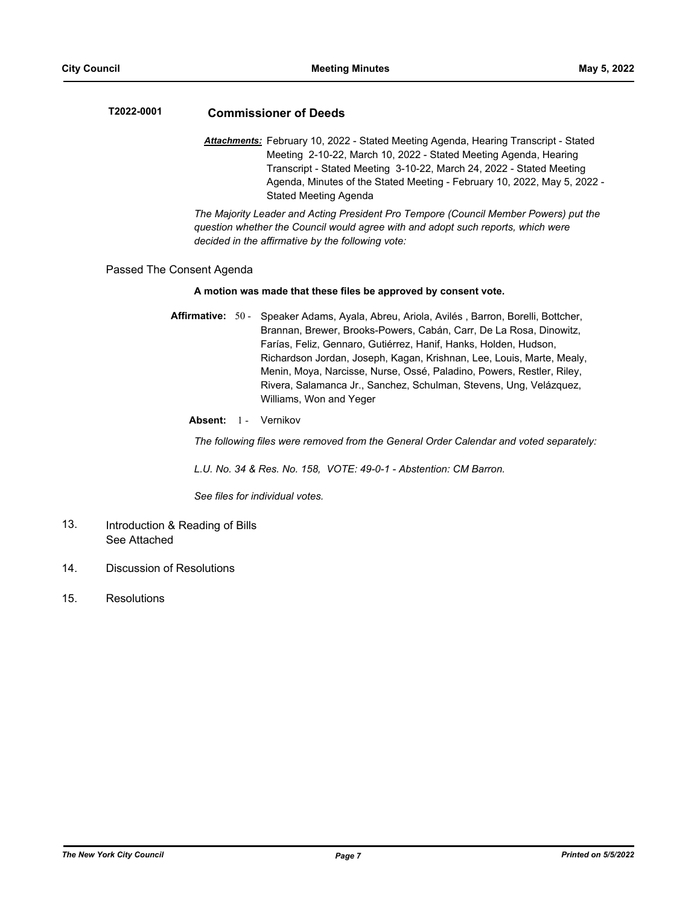## **T2022-0001 Commissioner of Deeds**

*Attachments:* February 10, 2022 - Stated Meeting Agenda, Hearing Transcript - Stated Meeting 2-10-22, March 10, 2022 - Stated Meeting Agenda, Hearing Transcript - Stated Meeting 3-10-22, March 24, 2022 - Stated Meeting Agenda, Minutes of the Stated Meeting - February 10, 2022, May 5, 2022 - Stated Meeting Agenda

*The Majority Leader and Acting President Pro Tempore (Council Member Powers) put the question whether the Council would agree with and adopt such reports, which were decided in the affirmative by the following vote:*

#### Passed The Consent Agenda

#### **A motion was made that these files be approved by consent vote.**

- Affirmative: 50 Speaker Adams, Ayala, Abreu, Ariola, Avilés, Barron, Borelli, Bottcher, Brannan, Brewer, Brooks-Powers, Cabán, Carr, De La Rosa, Dinowitz, Farías, Feliz, Gennaro, Gutiérrez, Hanif, Hanks, Holden, Hudson, Richardson Jordan, Joseph, Kagan, Krishnan, Lee, Louis, Marte, Mealy, Menin, Moya, Narcisse, Nurse, Ossé, Paladino, Powers, Restler, Riley, Rivera, Salamanca Jr., Sanchez, Schulman, Stevens, Ung, Velázquez, Williams, Won and Yeger
	- Absent: 1 Vernikov

*The following files were removed from the General Order Calendar and voted separately:*

*L.U. No. 34 & Res. No. 158, VOTE: 49-0-1 - Abstention: CM Barron.*

*See files for individual votes.*

- Introduction & Reading of Bills See Attached 13.
- 14. Discussion of Resolutions
- 15. Resolutions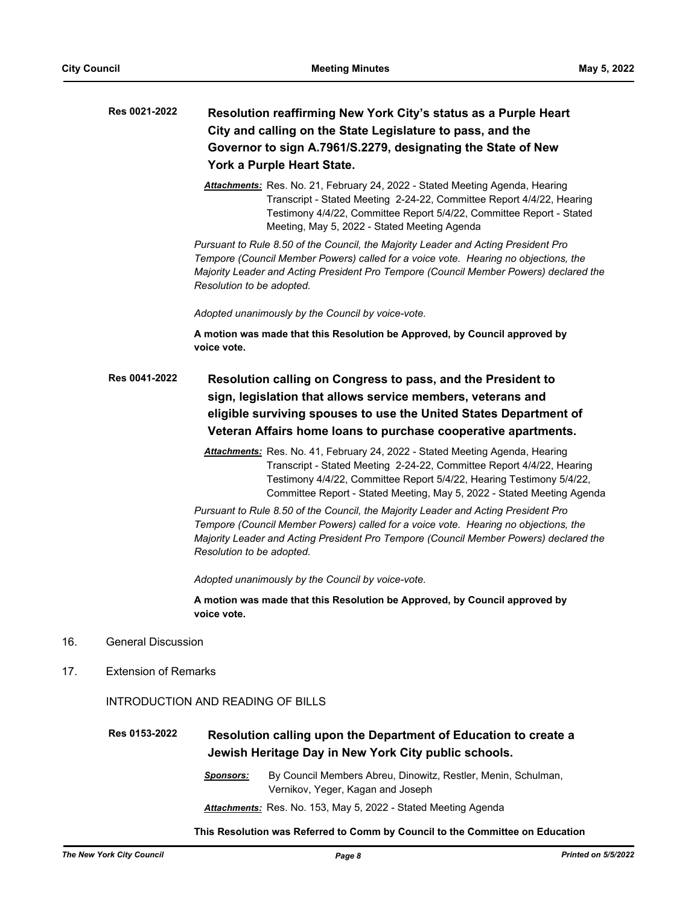| <b>Res 0021-2022</b> | Resolution reaffirming New York City's status as a Purple Heart |
|----------------------|-----------------------------------------------------------------|
|                      | City and calling on the State Legislature to pass, and the      |
|                      | Governor to sign A.7961/S.2279, designating the State of New    |
|                      | York a Purple Heart State.                                      |

*Attachments:* Res. No. 21, February 24, 2022 - Stated Meeting Agenda, Hearing Transcript - Stated Meeting 2-24-22, Committee Report 4/4/22, Hearing Testimony 4/4/22, Committee Report 5/4/22, Committee Report - Stated Meeting, May 5, 2022 - Stated Meeting Agenda

*Pursuant to Rule 8.50 of the Council, the Majority Leader and Acting President Pro Tempore (Council Member Powers) called for a voice vote. Hearing no objections, the Majority Leader and Acting President Pro Tempore (Council Member Powers) declared the Resolution to be adopted.*

*Adopted unanimously by the Council by voice-vote.*

**A motion was made that this Resolution be Approved, by Council approved by voice vote.**

- **Resolution calling on Congress to pass, and the President to sign, legislation that allows service members, veterans and eligible surviving spouses to use the United States Department of Veteran Affairs home loans to purchase cooperative apartments. Res 0041-2022**
	- *Attachments:* Res. No. 41, February 24, 2022 Stated Meeting Agenda, Hearing Transcript - Stated Meeting 2-24-22, Committee Report 4/4/22, Hearing Testimony 4/4/22, Committee Report 5/4/22, Hearing Testimony 5/4/22, Committee Report - Stated Meeting, May 5, 2022 - Stated Meeting Agenda

*Pursuant to Rule 8.50 of the Council, the Majority Leader and Acting President Pro Tempore (Council Member Powers) called for a voice vote. Hearing no objections, the Majority Leader and Acting President Pro Tempore (Council Member Powers) declared the Resolution to be adopted.*

*Adopted unanimously by the Council by voice-vote.*

**A motion was made that this Resolution be Approved, by Council approved by voice vote.**

- 16. General Discussion
- 17. Extension of Remarks

INTRODUCTION AND READING OF BILLS

#### **Resolution calling upon the Department of Education to create a Jewish Heritage Day in New York City public schools. Res 0153-2022**

*Sponsors:* By Council Members Abreu, Dinowitz, Restler, Menin, Schulman, Vernikov, Yeger, Kagan and Joseph *Attachments:* Res. No. 153, May 5, 2022 - Stated Meeting Agenda

**This Resolution was Referred to Comm by Council to the Committee on Education**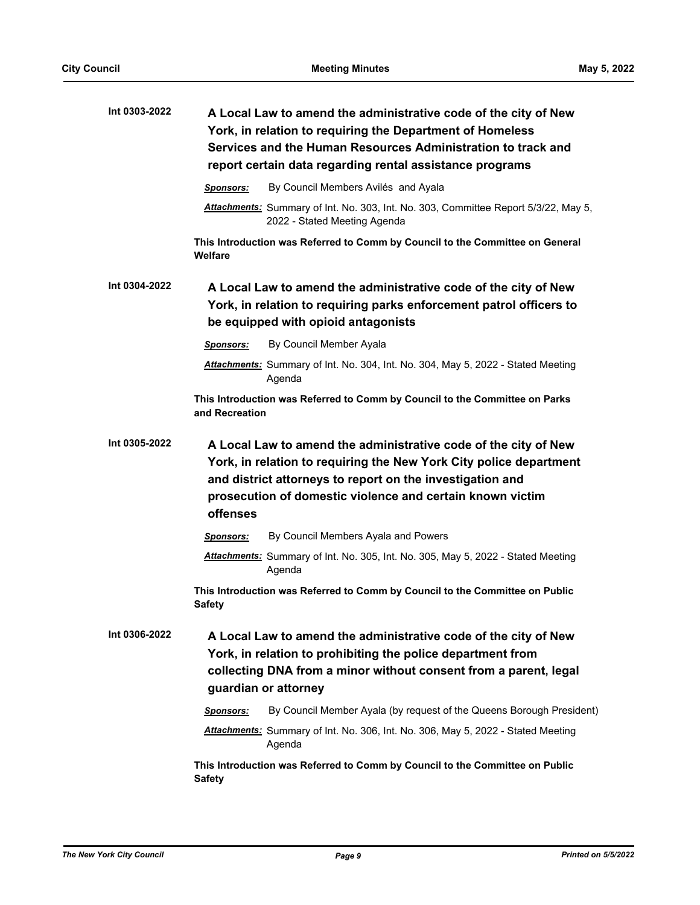| Int 0303-2022 | A Local Law to amend the administrative code of the city of New<br>York, in relation to requiring the Department of Homeless<br>Services and the Human Resources Administration to track and<br>report certain data regarding rental assistance programs                    |  |  |
|---------------|-----------------------------------------------------------------------------------------------------------------------------------------------------------------------------------------------------------------------------------------------------------------------------|--|--|
|               | By Council Members Avilés and Ayala<br><b>Sponsors:</b>                                                                                                                                                                                                                     |  |  |
|               | Attachments: Summary of Int. No. 303, Int. No. 303, Committee Report 5/3/22, May 5,<br>2022 - Stated Meeting Agenda                                                                                                                                                         |  |  |
|               | This Introduction was Referred to Comm by Council to the Committee on General<br>Welfare                                                                                                                                                                                    |  |  |
| Int 0304-2022 | A Local Law to amend the administrative code of the city of New<br>York, in relation to requiring parks enforcement patrol officers to<br>be equipped with opioid antagonists                                                                                               |  |  |
|               | By Council Member Ayala<br>Sponsors:                                                                                                                                                                                                                                        |  |  |
|               | Attachments: Summary of Int. No. 304, Int. No. 304, May 5, 2022 - Stated Meeting<br>Agenda                                                                                                                                                                                  |  |  |
|               | This Introduction was Referred to Comm by Council to the Committee on Parks<br>and Recreation                                                                                                                                                                               |  |  |
| Int 0305-2022 | A Local Law to amend the administrative code of the city of New<br>York, in relation to requiring the New York City police department<br>and district attorneys to report on the investigation and<br>prosecution of domestic violence and certain known victim<br>offenses |  |  |
|               | By Council Members Ayala and Powers<br>Sponsors:                                                                                                                                                                                                                            |  |  |
|               | Attachments: Summary of Int. No. 305, Int. No. 305, May 5, 2022 - Stated Meeting<br>Agenda                                                                                                                                                                                  |  |  |
|               | This Introduction was Referred to Comm by Council to the Committee on Public<br><b>Safety</b>                                                                                                                                                                               |  |  |
| Int 0306-2022 | A Local Law to amend the administrative code of the city of New<br>York, in relation to prohibiting the police department from<br>collecting DNA from a minor without consent from a parent, legal<br>guardian or attorney                                                  |  |  |
|               | By Council Member Ayala (by request of the Queens Borough President)<br>Sponsors:                                                                                                                                                                                           |  |  |
|               | <b>Attachments:</b> Summary of Int. No. 306, Int. No. 306, May 5, 2022 - Stated Meeting<br>Agenda                                                                                                                                                                           |  |  |
|               | This Introduction was Referred to Comm by Council to the Committee on Public<br><b>Safety</b>                                                                                                                                                                               |  |  |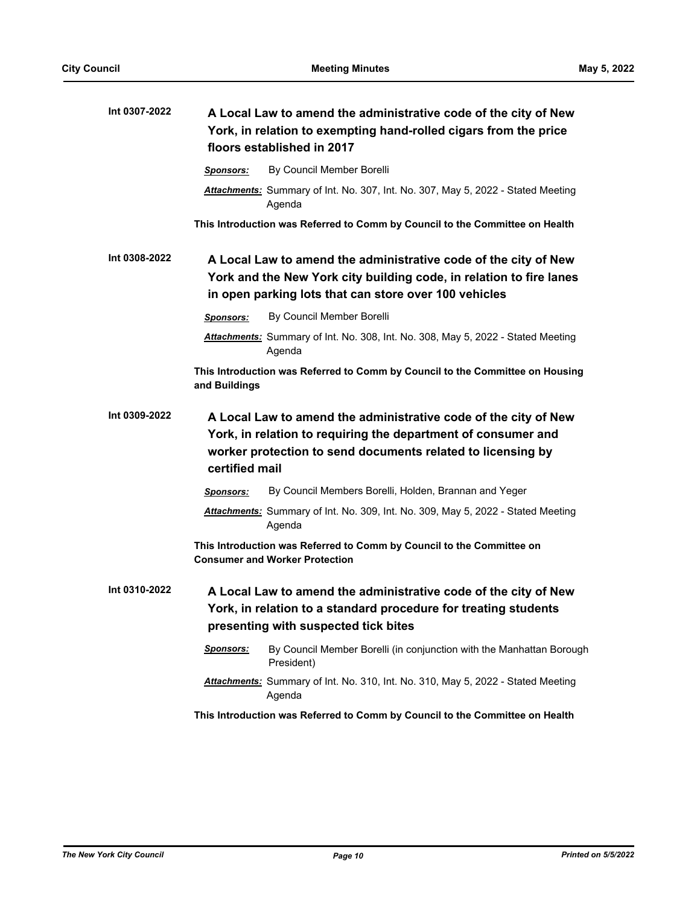| Int 0307-2022 | A Local Law to amend the administrative code of the city of New<br>York, in relation to exempting hand-rolled cigars from the price<br>floors established in 2017                                                 |  |  |
|---------------|-------------------------------------------------------------------------------------------------------------------------------------------------------------------------------------------------------------------|--|--|
|               | By Council Member Borelli<br>Sponsors:                                                                                                                                                                            |  |  |
|               | Attachments: Summary of Int. No. 307, Int. No. 307, May 5, 2022 - Stated Meeting<br>Agenda                                                                                                                        |  |  |
|               | This Introduction was Referred to Comm by Council to the Committee on Health                                                                                                                                      |  |  |
| Int 0308-2022 | A Local Law to amend the administrative code of the city of New<br>York and the New York city building code, in relation to fire lanes<br>in open parking lots that can store over 100 vehicles                   |  |  |
|               | By Council Member Borelli<br>Sponsors:                                                                                                                                                                            |  |  |
|               | Attachments: Summary of Int. No. 308, Int. No. 308, May 5, 2022 - Stated Meeting<br>Agenda                                                                                                                        |  |  |
|               | This Introduction was Referred to Comm by Council to the Committee on Housing<br>and Buildings                                                                                                                    |  |  |
| Int 0309-2022 | A Local Law to amend the administrative code of the city of New<br>York, in relation to requiring the department of consumer and<br>worker protection to send documents related to licensing by<br>certified mail |  |  |
|               | By Council Members Borelli, Holden, Brannan and Yeger<br>Sponsors:                                                                                                                                                |  |  |
|               | Attachments: Summary of Int. No. 309, Int. No. 309, May 5, 2022 - Stated Meeting<br>Agenda                                                                                                                        |  |  |
|               | This Introduction was Referred to Comm by Council to the Committee on<br><b>Consumer and Worker Protection</b>                                                                                                    |  |  |
| Int 0310-2022 | A Local Law to amend the administrative code of the city of New<br>York, in relation to a standard procedure for treating students<br>presenting with suspected tick bites                                        |  |  |
|               | By Council Member Borelli (in conjunction with the Manhattan Borough<br>Sponsors:<br>President)                                                                                                                   |  |  |
|               | Attachments: Summary of Int. No. 310, Int. No. 310, May 5, 2022 - Stated Meeting<br>Agenda                                                                                                                        |  |  |
|               | This Introduction was Referred to Comm by Council to the Committee on Health                                                                                                                                      |  |  |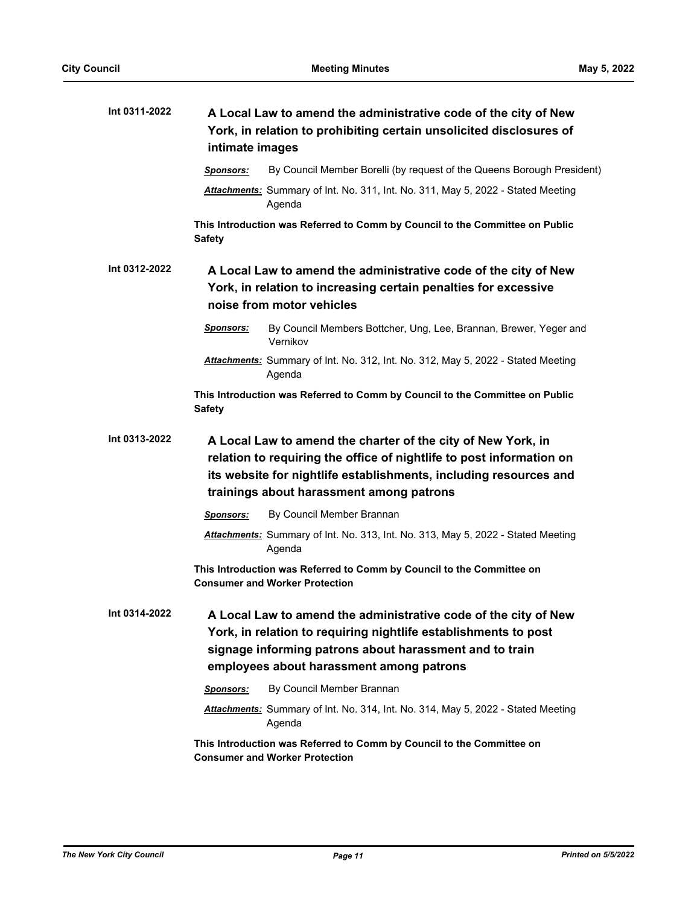| Int 0311-2022 | A Local Law to amend the administrative code of the city of New<br>York, in relation to prohibiting certain unsolicited disclosures of<br>intimate images       |                                                                                                                                                                                                                                                       |  |
|---------------|-----------------------------------------------------------------------------------------------------------------------------------------------------------------|-------------------------------------------------------------------------------------------------------------------------------------------------------------------------------------------------------------------------------------------------------|--|
|               | <b>Sponsors:</b>                                                                                                                                                | By Council Member Borelli (by request of the Queens Borough President)                                                                                                                                                                                |  |
|               |                                                                                                                                                                 | Attachments: Summary of Int. No. 311, Int. No. 311, May 5, 2022 - Stated Meeting<br>Agenda                                                                                                                                                            |  |
|               | <b>Safety</b>                                                                                                                                                   | This Introduction was Referred to Comm by Council to the Committee on Public                                                                                                                                                                          |  |
| Int 0312-2022 | A Local Law to amend the administrative code of the city of New<br>York, in relation to increasing certain penalties for excessive<br>noise from motor vehicles |                                                                                                                                                                                                                                                       |  |
|               | <u>Sponsors:</u>                                                                                                                                                | By Council Members Bottcher, Ung, Lee, Brannan, Brewer, Yeger and<br>Vernikov                                                                                                                                                                         |  |
|               |                                                                                                                                                                 | Attachments: Summary of Int. No. 312, Int. No. 312, May 5, 2022 - Stated Meeting<br>Agenda                                                                                                                                                            |  |
|               | <b>Safety</b>                                                                                                                                                   | This Introduction was Referred to Comm by Council to the Committee on Public                                                                                                                                                                          |  |
| Int 0313-2022 |                                                                                                                                                                 | A Local Law to amend the charter of the city of New York, in<br>relation to requiring the office of nightlife to post information on<br>its website for nightlife establishments, including resources and<br>trainings about harassment among patrons |  |
|               | <b>Sponsors:</b>                                                                                                                                                | By Council Member Brannan                                                                                                                                                                                                                             |  |
|               |                                                                                                                                                                 | Attachments: Summary of Int. No. 313, Int. No. 313, May 5, 2022 - Stated Meeting<br>Agenda                                                                                                                                                            |  |
|               |                                                                                                                                                                 | This Introduction was Referred to Comm by Council to the Committee on<br><b>Consumer and Worker Protection</b>                                                                                                                                        |  |
| Int 0314-2022 |                                                                                                                                                                 | A Local Law to amend the administrative code of the city of New<br>York, in relation to requiring nightlife establishments to post<br>signage informing patrons about harassment and to train<br>employees about harassment among patrons             |  |
|               | <b>Sponsors:</b>                                                                                                                                                | By Council Member Brannan                                                                                                                                                                                                                             |  |
|               |                                                                                                                                                                 | Attachments: Summary of Int. No. 314, Int. No. 314, May 5, 2022 - Stated Meeting<br>Agenda                                                                                                                                                            |  |
|               |                                                                                                                                                                 | This Introduction was Referred to Comm by Council to the Committee on<br><b>Consumer and Worker Protection</b>                                                                                                                                        |  |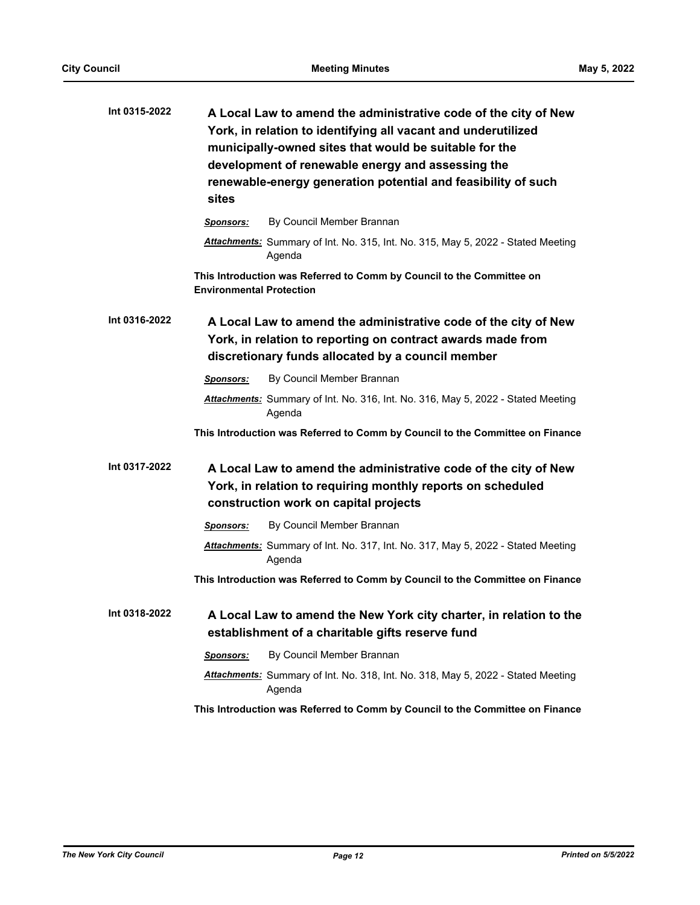| Int 0315-2022 | A Local Law to amend the administrative code of the city of New<br>York, in relation to identifying all vacant and underutilized<br>municipally-owned sites that would be suitable for the<br>development of renewable energy and assessing the<br>renewable-energy generation potential and feasibility of such<br>sites |  |  |
|---------------|---------------------------------------------------------------------------------------------------------------------------------------------------------------------------------------------------------------------------------------------------------------------------------------------------------------------------|--|--|
|               | By Council Member Brannan<br><b>Sponsors:</b>                                                                                                                                                                                                                                                                             |  |  |
|               | Attachments: Summary of Int. No. 315, Int. No. 315, May 5, 2022 - Stated Meeting<br>Agenda                                                                                                                                                                                                                                |  |  |
|               | This Introduction was Referred to Comm by Council to the Committee on<br><b>Environmental Protection</b>                                                                                                                                                                                                                  |  |  |
| Int 0316-2022 | A Local Law to amend the administrative code of the city of New<br>York, in relation to reporting on contract awards made from<br>discretionary funds allocated by a council member                                                                                                                                       |  |  |
|               | By Council Member Brannan<br><b>Sponsors:</b>                                                                                                                                                                                                                                                                             |  |  |
|               | Attachments: Summary of Int. No. 316, Int. No. 316, May 5, 2022 - Stated Meeting<br>Agenda                                                                                                                                                                                                                                |  |  |
|               | This Introduction was Referred to Comm by Council to the Committee on Finance                                                                                                                                                                                                                                             |  |  |
| Int 0317-2022 | A Local Law to amend the administrative code of the city of New<br>York, in relation to requiring monthly reports on scheduled<br>construction work on capital projects                                                                                                                                                   |  |  |
|               | By Council Member Brannan<br>Sponsors:                                                                                                                                                                                                                                                                                    |  |  |
|               | Attachments: Summary of Int. No. 317, Int. No. 317, May 5, 2022 - Stated Meeting<br>Agenda                                                                                                                                                                                                                                |  |  |
|               | This Introduction was Referred to Comm by Council to the Committee on Finance                                                                                                                                                                                                                                             |  |  |
| Int 0318-2022 | A Local Law to amend the New York city charter, in relation to the<br>establishment of a charitable gifts reserve fund                                                                                                                                                                                                    |  |  |
|               | By Council Member Brannan<br><b>Sponsors:</b>                                                                                                                                                                                                                                                                             |  |  |
|               | Attachments: Summary of Int. No. 318, Int. No. 318, May 5, 2022 - Stated Meeting<br>Agenda                                                                                                                                                                                                                                |  |  |
|               | This Introduction was Referred to Comm by Council to the Committee on Finance                                                                                                                                                                                                                                             |  |  |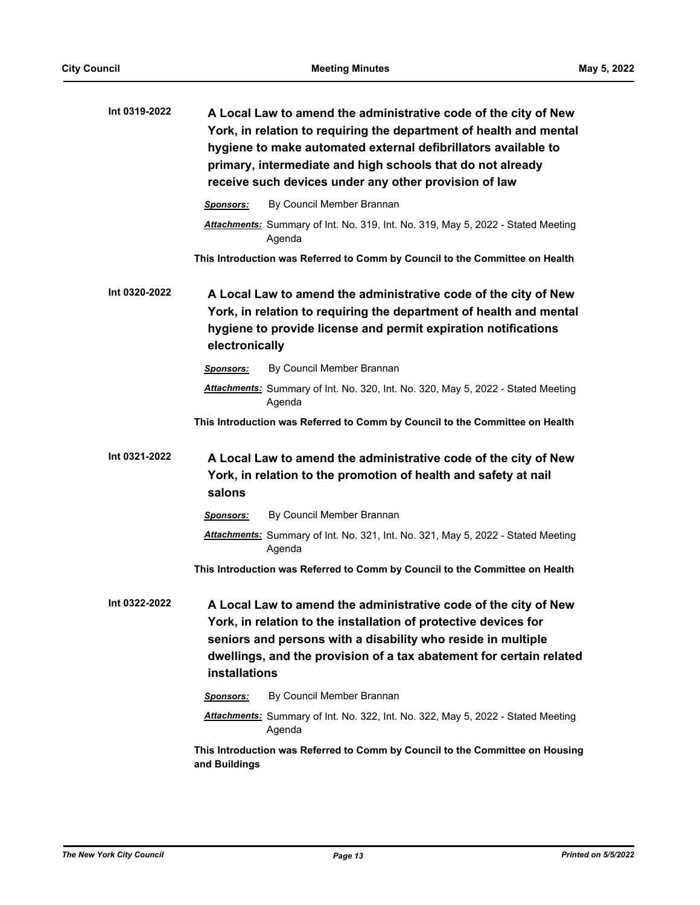| Int 0319-2022 |                                                                                                                                                                                                                           | A Local Law to amend the administrative code of the city of New<br>York, in relation to requiring the department of health and mental<br>hygiene to make automated external defibrillators available to<br>primary, intermediate and high schools that do not already<br>receive such devices under any other provision of law |  |
|---------------|---------------------------------------------------------------------------------------------------------------------------------------------------------------------------------------------------------------------------|--------------------------------------------------------------------------------------------------------------------------------------------------------------------------------------------------------------------------------------------------------------------------------------------------------------------------------|--|
|               | <b>Sponsors:</b>                                                                                                                                                                                                          | By Council Member Brannan                                                                                                                                                                                                                                                                                                      |  |
|               |                                                                                                                                                                                                                           | Attachments: Summary of Int. No. 319, Int. No. 319, May 5, 2022 - Stated Meeting<br>Agenda                                                                                                                                                                                                                                     |  |
|               |                                                                                                                                                                                                                           | This Introduction was Referred to Comm by Council to the Committee on Health                                                                                                                                                                                                                                                   |  |
| Int 0320-2022 | A Local Law to amend the administrative code of the city of New<br>York, in relation to requiring the department of health and mental<br>hygiene to provide license and permit expiration notifications<br>electronically |                                                                                                                                                                                                                                                                                                                                |  |
|               | <b>Sponsors:</b>                                                                                                                                                                                                          | By Council Member Brannan                                                                                                                                                                                                                                                                                                      |  |
|               |                                                                                                                                                                                                                           | Attachments: Summary of Int. No. 320, Int. No. 320, May 5, 2022 - Stated Meeting<br>Agenda                                                                                                                                                                                                                                     |  |
|               |                                                                                                                                                                                                                           | This Introduction was Referred to Comm by Council to the Committee on Health                                                                                                                                                                                                                                                   |  |
| Int 0321-2022 | A Local Law to amend the administrative code of the city of New<br>York, in relation to the promotion of health and safety at nail<br>salons                                                                              |                                                                                                                                                                                                                                                                                                                                |  |
|               | <b>Sponsors:</b>                                                                                                                                                                                                          | By Council Member Brannan                                                                                                                                                                                                                                                                                                      |  |
|               |                                                                                                                                                                                                                           | Attachments: Summary of Int. No. 321, Int. No. 321, May 5, 2022 - Stated Meeting<br>Agenda                                                                                                                                                                                                                                     |  |
|               |                                                                                                                                                                                                                           | This Introduction was Referred to Comm by Council to the Committee on Health                                                                                                                                                                                                                                                   |  |
| Int 0322-2022 | installations                                                                                                                                                                                                             | A Local Law to amend the administrative code of the city of New<br>York, in relation to the installation of protective devices for<br>seniors and persons with a disability who reside in multiple<br>dwellings, and the provision of a tax abatement for certain related                                                      |  |
|               | Sponsors:                                                                                                                                                                                                                 | By Council Member Brannan                                                                                                                                                                                                                                                                                                      |  |
|               |                                                                                                                                                                                                                           | Attachments: Summary of Int. No. 322, Int. No. 322, May 5, 2022 - Stated Meeting<br>Agenda                                                                                                                                                                                                                                     |  |
|               | and Buildings                                                                                                                                                                                                             | This Introduction was Referred to Comm by Council to the Committee on Housing                                                                                                                                                                                                                                                  |  |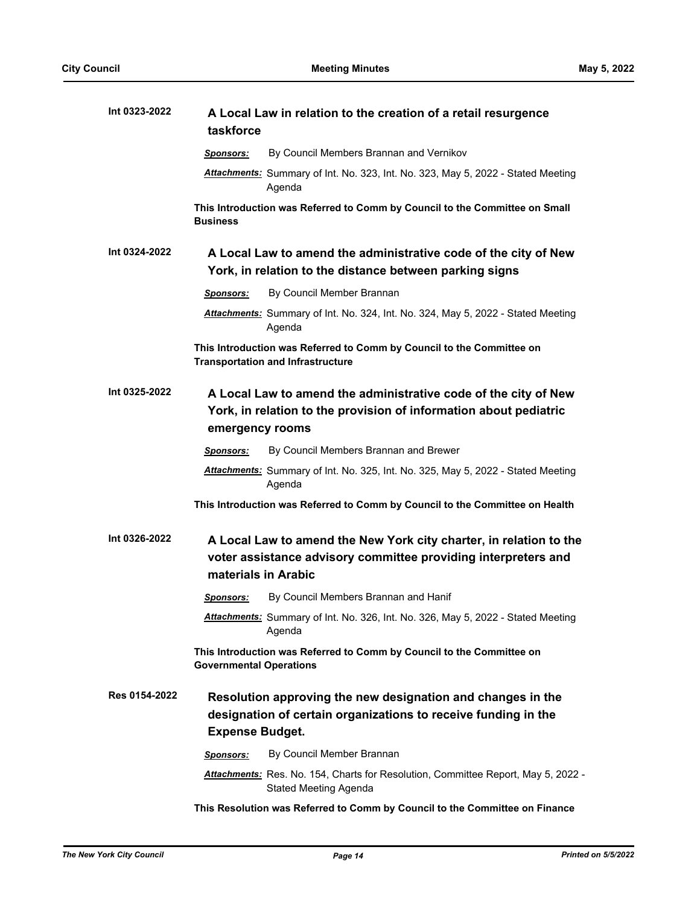| Int 0323-2022 | taskforce                                                                                                                                               | A Local Law in relation to the creation of a retail resurgence                                                                       |  |  |
|---------------|---------------------------------------------------------------------------------------------------------------------------------------------------------|--------------------------------------------------------------------------------------------------------------------------------------|--|--|
|               | <b>Sponsors:</b>                                                                                                                                        | By Council Members Brannan and Vernikov                                                                                              |  |  |
|               |                                                                                                                                                         | Attachments: Summary of Int. No. 323, Int. No. 323, May 5, 2022 - Stated Meeting<br>Agenda                                           |  |  |
|               | <b>Business</b>                                                                                                                                         | This Introduction was Referred to Comm by Council to the Committee on Small                                                          |  |  |
| Int 0324-2022 |                                                                                                                                                         | A Local Law to amend the administrative code of the city of New<br>York, in relation to the distance between parking signs           |  |  |
|               | <b>Sponsors:</b>                                                                                                                                        | By Council Member Brannan                                                                                                            |  |  |
|               |                                                                                                                                                         | Attachments: Summary of Int. No. 324, Int. No. 324, May 5, 2022 - Stated Meeting<br>Agenda                                           |  |  |
|               |                                                                                                                                                         | This Introduction was Referred to Comm by Council to the Committee on<br><b>Transportation and Infrastructure</b>                    |  |  |
| Int 0325-2022 | A Local Law to amend the administrative code of the city of New<br>York, in relation to the provision of information about pediatric<br>emergency rooms |                                                                                                                                      |  |  |
|               | <b>Sponsors:</b>                                                                                                                                        | By Council Members Brannan and Brewer                                                                                                |  |  |
|               |                                                                                                                                                         | Attachments: Summary of Int. No. 325, Int. No. 325, May 5, 2022 - Stated Meeting<br>Agenda                                           |  |  |
|               |                                                                                                                                                         | This Introduction was Referred to Comm by Council to the Committee on Health                                                         |  |  |
| Int 0326-2022 | materials in Arabic                                                                                                                                     | A Local Law to amend the New York city charter, in relation to the<br>voter assistance advisory committee providing interpreters and |  |  |
|               | <u>Sponsors:</u>                                                                                                                                        | By Council Members Brannan and Hanif                                                                                                 |  |  |
|               |                                                                                                                                                         | Attachments: Summary of Int. No. 326, Int. No. 326, May 5, 2022 - Stated Meeting<br>Agenda                                           |  |  |
|               | <b>Governmental Operations</b>                                                                                                                          | This Introduction was Referred to Comm by Council to the Committee on                                                                |  |  |
| Res 0154-2022 | <b>Expense Budget.</b>                                                                                                                                  | Resolution approving the new designation and changes in the<br>designation of certain organizations to receive funding in the        |  |  |
|               | <u>Sponsors:</u>                                                                                                                                        | By Council Member Brannan                                                                                                            |  |  |
|               |                                                                                                                                                         | Attachments: Res. No. 154, Charts for Resolution, Committee Report, May 5, 2022 -<br><b>Stated Meeting Agenda</b>                    |  |  |
|               |                                                                                                                                                         | This Resolution was Referred to Comm by Council to the Committee on Finance                                                          |  |  |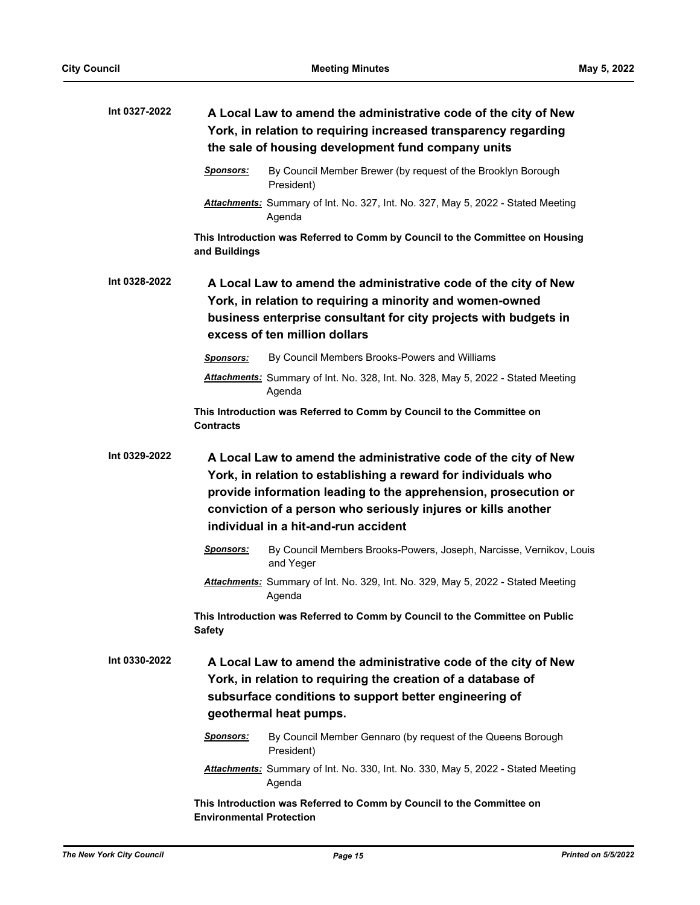| Int 0327-2022 | A Local Law to amend the administrative code of the city of New<br>York, in relation to requiring increased transparency regarding<br>the sale of housing development fund company units                                                                                                                      |  |  |
|---------------|---------------------------------------------------------------------------------------------------------------------------------------------------------------------------------------------------------------------------------------------------------------------------------------------------------------|--|--|
|               | By Council Member Brewer (by request of the Brooklyn Borough<br><b>Sponsors:</b><br>President)                                                                                                                                                                                                                |  |  |
|               | Attachments: Summary of Int. No. 327, Int. No. 327, May 5, 2022 - Stated Meeting<br>Agenda                                                                                                                                                                                                                    |  |  |
|               | This Introduction was Referred to Comm by Council to the Committee on Housing<br>and Buildings                                                                                                                                                                                                                |  |  |
| Int 0328-2022 | A Local Law to amend the administrative code of the city of New<br>York, in relation to requiring a minority and women-owned<br>business enterprise consultant for city projects with budgets in<br>excess of ten million dollars                                                                             |  |  |
|               | By Council Members Brooks-Powers and Williams<br><b>Sponsors:</b>                                                                                                                                                                                                                                             |  |  |
|               | Attachments: Summary of Int. No. 328, Int. No. 328, May 5, 2022 - Stated Meeting<br>Agenda                                                                                                                                                                                                                    |  |  |
|               | This Introduction was Referred to Comm by Council to the Committee on<br><b>Contracts</b>                                                                                                                                                                                                                     |  |  |
| Int 0329-2022 | A Local Law to amend the administrative code of the city of New<br>York, in relation to establishing a reward for individuals who<br>provide information leading to the apprehension, prosecution or<br>conviction of a person who seriously injures or kills another<br>individual in a hit-and-run accident |  |  |
|               | By Council Members Brooks-Powers, Joseph, Narcisse, Vernikov, Louis<br>Sponsors:<br>and Yeger                                                                                                                                                                                                                 |  |  |
|               | Attachments: Summary of Int. No. 329, Int. No. 329, May 5, 2022 - Stated Meeting<br>Agenda                                                                                                                                                                                                                    |  |  |
|               | This Introduction was Referred to Comm by Council to the Committee on Public<br><b>Safety</b>                                                                                                                                                                                                                 |  |  |
| Int 0330-2022 | A Local Law to amend the administrative code of the city of New<br>York, in relation to requiring the creation of a database of<br>subsurface conditions to support better engineering of<br>geothermal heat pumps.                                                                                           |  |  |
|               | By Council Member Gennaro (by request of the Queens Borough<br>Sponsors:<br>President)                                                                                                                                                                                                                        |  |  |
|               | Attachments: Summary of Int. No. 330, Int. No. 330, May 5, 2022 - Stated Meeting<br>Agenda                                                                                                                                                                                                                    |  |  |
|               | This Introduction was Referred to Comm by Council to the Committee on<br><b>Environmental Protection</b>                                                                                                                                                                                                      |  |  |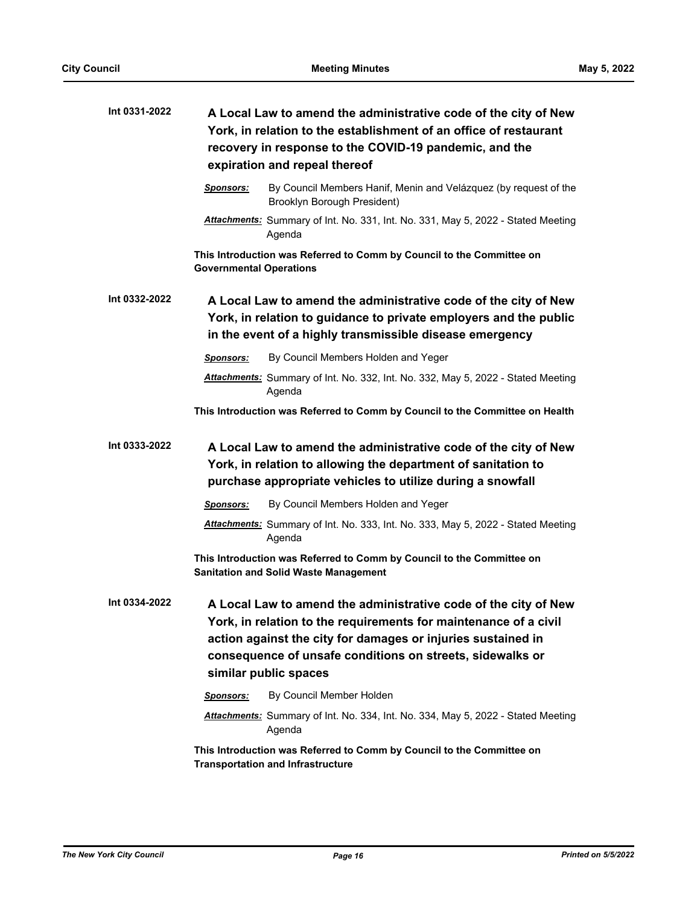| Int 0331-2022 | A Local Law to amend the administrative code of the city of New<br>York, in relation to the establishment of an office of restaurant<br>recovery in response to the COVID-19 pandemic, and the<br>expiration and repeal thereof                                                           |                                                                                                                                                                                                  |  |
|---------------|-------------------------------------------------------------------------------------------------------------------------------------------------------------------------------------------------------------------------------------------------------------------------------------------|--------------------------------------------------------------------------------------------------------------------------------------------------------------------------------------------------|--|
|               | Sponsors:                                                                                                                                                                                                                                                                                 | By Council Members Hanif, Menin and Velázquez (by request of the<br>Brooklyn Borough President)                                                                                                  |  |
|               |                                                                                                                                                                                                                                                                                           | Attachments: Summary of Int. No. 331, Int. No. 331, May 5, 2022 - Stated Meeting<br>Agenda                                                                                                       |  |
|               | <b>Governmental Operations</b>                                                                                                                                                                                                                                                            | This Introduction was Referred to Comm by Council to the Committee on                                                                                                                            |  |
| Int 0332-2022 |                                                                                                                                                                                                                                                                                           | A Local Law to amend the administrative code of the city of New<br>York, in relation to guidance to private employers and the public<br>in the event of a highly transmissible disease emergency |  |
|               | <b>Sponsors:</b>                                                                                                                                                                                                                                                                          | By Council Members Holden and Yeger                                                                                                                                                              |  |
|               |                                                                                                                                                                                                                                                                                           | Attachments: Summary of Int. No. 332, Int. No. 332, May 5, 2022 - Stated Meeting<br>Agenda                                                                                                       |  |
|               |                                                                                                                                                                                                                                                                                           | This Introduction was Referred to Comm by Council to the Committee on Health                                                                                                                     |  |
| Int 0333-2022 | A Local Law to amend the administrative code of the city of New<br>York, in relation to allowing the department of sanitation to<br>purchase appropriate vehicles to utilize during a snowfall                                                                                            |                                                                                                                                                                                                  |  |
|               | <b>Sponsors:</b>                                                                                                                                                                                                                                                                          | By Council Members Holden and Yeger                                                                                                                                                              |  |
|               |                                                                                                                                                                                                                                                                                           | Attachments: Summary of Int. No. 333, Int. No. 333, May 5, 2022 - Stated Meeting<br>Agenda                                                                                                       |  |
|               |                                                                                                                                                                                                                                                                                           | This Introduction was Referred to Comm by Council to the Committee on<br><b>Sanitation and Solid Waste Management</b>                                                                            |  |
| Int 0334-2022 | A Local Law to amend the administrative code of the city of New<br>York, in relation to the requirements for maintenance of a civil<br>action against the city for damages or injuries sustained in<br>consequence of unsafe conditions on streets, sidewalks or<br>similar public spaces |                                                                                                                                                                                                  |  |
|               | Sponsors:                                                                                                                                                                                                                                                                                 | By Council Member Holden                                                                                                                                                                         |  |
|               |                                                                                                                                                                                                                                                                                           | Attachments: Summary of Int. No. 334, Int. No. 334, May 5, 2022 - Stated Meeting<br>Agenda                                                                                                       |  |
|               |                                                                                                                                                                                                                                                                                           | This Introduction was Referred to Comm by Council to the Committee on<br><b>Transportation and Infrastructure</b>                                                                                |  |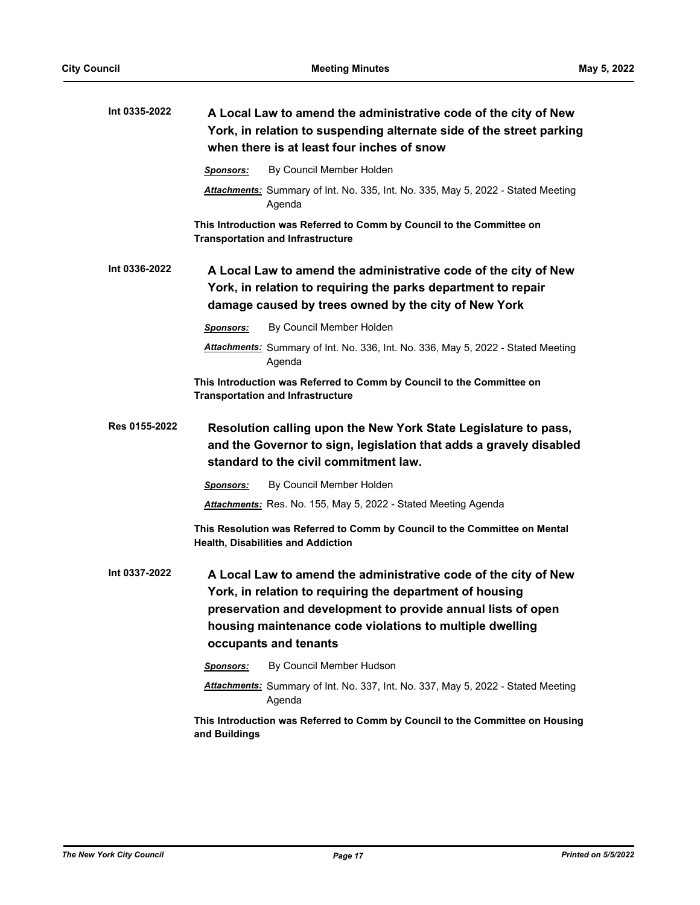| Int 0335-2022 | A Local Law to amend the administrative code of the city of New<br>York, in relation to suspending alternate side of the street parking<br>when there is at least four inches of snow                                                                                            |  |
|---------------|----------------------------------------------------------------------------------------------------------------------------------------------------------------------------------------------------------------------------------------------------------------------------------|--|
|               | By Council Member Holden<br>Sponsors:                                                                                                                                                                                                                                            |  |
|               | Attachments: Summary of Int. No. 335, Int. No. 335, May 5, 2022 - Stated Meeting<br>Agenda                                                                                                                                                                                       |  |
|               | This Introduction was Referred to Comm by Council to the Committee on<br><b>Transportation and Infrastructure</b>                                                                                                                                                                |  |
| Int 0336-2022 | A Local Law to amend the administrative code of the city of New<br>York, in relation to requiring the parks department to repair<br>damage caused by trees owned by the city of New York                                                                                         |  |
|               | By Council Member Holden<br><b>Sponsors:</b>                                                                                                                                                                                                                                     |  |
|               | Attachments: Summary of Int. No. 336, Int. No. 336, May 5, 2022 - Stated Meeting<br>Agenda                                                                                                                                                                                       |  |
|               | This Introduction was Referred to Comm by Council to the Committee on<br><b>Transportation and Infrastructure</b>                                                                                                                                                                |  |
| Res 0155-2022 | Resolution calling upon the New York State Legislature to pass,<br>and the Governor to sign, legislation that adds a gravely disabled<br>standard to the civil commitment law.                                                                                                   |  |
|               | By Council Member Holden<br>Sponsors:                                                                                                                                                                                                                                            |  |
|               | Attachments: Res. No. 155, May 5, 2022 - Stated Meeting Agenda                                                                                                                                                                                                                   |  |
|               | This Resolution was Referred to Comm by Council to the Committee on Mental<br><b>Health, Disabilities and Addiction</b>                                                                                                                                                          |  |
| Int 0337-2022 | A Local Law to amend the administrative code of the city of New<br>York, in relation to requiring the department of housing<br>preservation and development to provide annual lists of open<br>housing maintenance code violations to multiple dwelling<br>occupants and tenants |  |
|               | By Council Member Hudson<br>Sponsors:                                                                                                                                                                                                                                            |  |
|               | Attachments: Summary of Int. No. 337, Int. No. 337, May 5, 2022 - Stated Meeting<br>Agenda                                                                                                                                                                                       |  |
|               | This Introduction was Referred to Comm by Council to the Committee on Housing<br>and Buildings                                                                                                                                                                                   |  |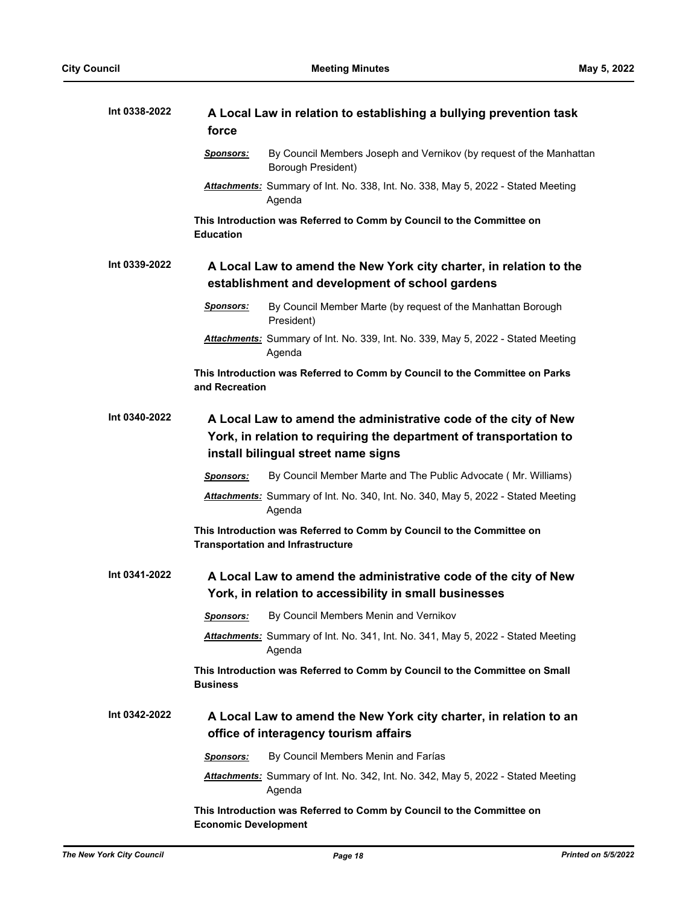| Int 0338-2022 | A Local Law in relation to establishing a bullying prevention task<br>force                                                                                                  |  |  |
|---------------|------------------------------------------------------------------------------------------------------------------------------------------------------------------------------|--|--|
|               | By Council Members Joseph and Vernikov (by request of the Manhattan<br><u>Sponsors:</u><br>Borough President)                                                                |  |  |
|               | Attachments: Summary of Int. No. 338, Int. No. 338, May 5, 2022 - Stated Meeting<br>Agenda                                                                                   |  |  |
|               | This Introduction was Referred to Comm by Council to the Committee on<br><b>Education</b>                                                                                    |  |  |
| Int 0339-2022 | A Local Law to amend the New York city charter, in relation to the<br>establishment and development of school gardens                                                        |  |  |
|               | <b>Sponsors:</b><br>By Council Member Marte (by request of the Manhattan Borough<br>President)                                                                               |  |  |
|               | Attachments: Summary of Int. No. 339, Int. No. 339, May 5, 2022 - Stated Meeting<br>Agenda                                                                                   |  |  |
|               | This Introduction was Referred to Comm by Council to the Committee on Parks<br>and Recreation                                                                                |  |  |
| Int 0340-2022 | A Local Law to amend the administrative code of the city of New<br>York, in relation to requiring the department of transportation to<br>install bilingual street name signs |  |  |
|               | By Council Member Marte and The Public Advocate (Mr. Williams)<br><b>Sponsors:</b>                                                                                           |  |  |
|               | Attachments: Summary of Int. No. 340, Int. No. 340, May 5, 2022 - Stated Meeting<br>Agenda                                                                                   |  |  |
|               | This Introduction was Referred to Comm by Council to the Committee on<br><b>Transportation and Infrastructure</b>                                                            |  |  |
| Int 0341-2022 | A Local Law to amend the administrative code of the city of New<br>York, in relation to accessibility in small businesses                                                    |  |  |
|               | <b>Sponsors:</b> By Council Members Menin and Vernikov                                                                                                                       |  |  |
|               | <b>Attachments:</b> Summary of Int. No. 341, Int. No. 341, May 5, 2022 - Stated Meeting<br>Agenda                                                                            |  |  |
|               | This Introduction was Referred to Comm by Council to the Committee on Small<br><b>Business</b>                                                                               |  |  |
| Int 0342-2022 | A Local Law to amend the New York city charter, in relation to an<br>office of interagency tourism affairs                                                                   |  |  |
|               | By Council Members Menin and Farías<br>Sponsors:                                                                                                                             |  |  |
|               | Attachments: Summary of Int. No. 342, Int. No. 342, May 5, 2022 - Stated Meeting<br>Agenda                                                                                   |  |  |
|               | This Introduction was Referred to Comm by Council to the Committee on<br><b>Economic Development</b>                                                                         |  |  |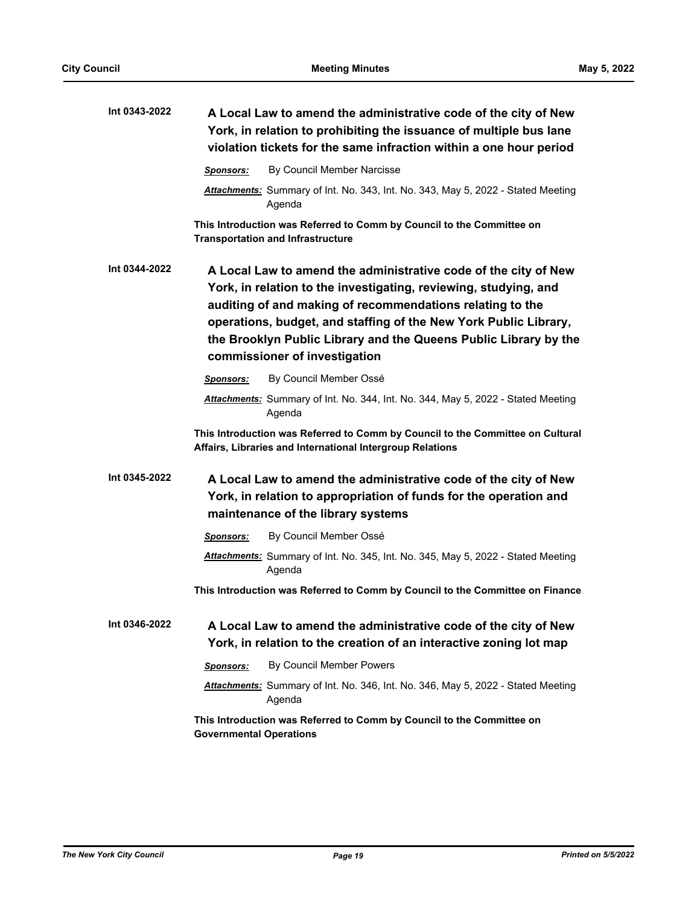| Int 0343-2022 | A Local Law to amend the administrative code of the city of New<br>York, in relation to prohibiting the issuance of multiple bus lane<br>violation tickets for the same infraction within a one hour period                                                                                                                                                               |
|---------------|---------------------------------------------------------------------------------------------------------------------------------------------------------------------------------------------------------------------------------------------------------------------------------------------------------------------------------------------------------------------------|
|               | By Council Member Narcisse<br>Sponsors:                                                                                                                                                                                                                                                                                                                                   |
|               | Attachments: Summary of Int. No. 343, Int. No. 343, May 5, 2022 - Stated Meeting<br>Agenda                                                                                                                                                                                                                                                                                |
|               | This Introduction was Referred to Comm by Council to the Committee on<br><b>Transportation and Infrastructure</b>                                                                                                                                                                                                                                                         |
| Int 0344-2022 | A Local Law to amend the administrative code of the city of New<br>York, in relation to the investigating, reviewing, studying, and<br>auditing of and making of recommendations relating to the<br>operations, budget, and staffing of the New York Public Library,<br>the Brooklyn Public Library and the Queens Public Library by the<br>commissioner of investigation |
|               | By Council Member Ossé<br>Sponsors:                                                                                                                                                                                                                                                                                                                                       |
|               | Attachments: Summary of Int. No. 344, Int. No. 344, May 5, 2022 - Stated Meeting<br>Agenda                                                                                                                                                                                                                                                                                |
|               | This Introduction was Referred to Comm by Council to the Committee on Cultural<br>Affairs, Libraries and International Intergroup Relations                                                                                                                                                                                                                               |
| Int 0345-2022 | A Local Law to amend the administrative code of the city of New<br>York, in relation to appropriation of funds for the operation and<br>maintenance of the library systems                                                                                                                                                                                                |
|               | By Council Member Ossé<br>Sponsors:                                                                                                                                                                                                                                                                                                                                       |
|               | Attachments: Summary of Int. No. 345, Int. No. 345, May 5, 2022 - Stated Meeting<br>Agenda                                                                                                                                                                                                                                                                                |
|               | This Introduction was Referred to Comm by Council to the Committee on Finance                                                                                                                                                                                                                                                                                             |
| Int 0346-2022 | A Local Law to amend the administrative code of the city of New<br>York, in relation to the creation of an interactive zoning lot map                                                                                                                                                                                                                                     |
|               | By Council Member Powers<br>Sponsors:                                                                                                                                                                                                                                                                                                                                     |
|               | Attachments: Summary of Int. No. 346, Int. No. 346, May 5, 2022 - Stated Meeting<br>Agenda                                                                                                                                                                                                                                                                                |
|               | This Introduction was Referred to Comm by Council to the Committee on<br><b>Governmental Operations</b>                                                                                                                                                                                                                                                                   |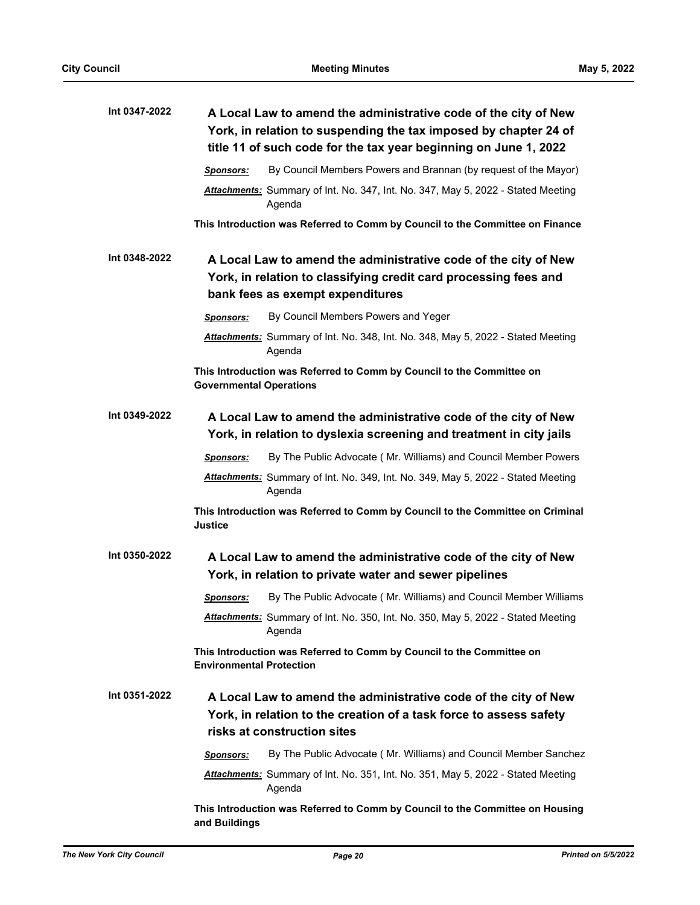| Int 0347-2022 |                                 | A Local Law to amend the administrative code of the city of New<br>York, in relation to suspending the tax imposed by chapter 24 of<br>title 11 of such code for the tax year beginning on June 1, 2022 |
|---------------|---------------------------------|---------------------------------------------------------------------------------------------------------------------------------------------------------------------------------------------------------|
|               | <b>Sponsors:</b>                | By Council Members Powers and Brannan (by request of the Mayor)                                                                                                                                         |
|               |                                 | Attachments: Summary of Int. No. 347, Int. No. 347, May 5, 2022 - Stated Meeting<br>Agenda                                                                                                              |
|               |                                 | This Introduction was Referred to Comm by Council to the Committee on Finance                                                                                                                           |
| Int 0348-2022 |                                 | A Local Law to amend the administrative code of the city of New                                                                                                                                         |
|               |                                 | York, in relation to classifying credit card processing fees and                                                                                                                                        |
|               |                                 | bank fees as exempt expenditures                                                                                                                                                                        |
|               | <b>Sponsors:</b>                | By Council Members Powers and Yeger                                                                                                                                                                     |
|               |                                 | Attachments: Summary of Int. No. 348, Int. No. 348, May 5, 2022 - Stated Meeting<br>Agenda                                                                                                              |
|               | <b>Governmental Operations</b>  | This Introduction was Referred to Comm by Council to the Committee on                                                                                                                                   |
| Int 0349-2022 |                                 | A Local Law to amend the administrative code of the city of New<br>York, in relation to dyslexia screening and treatment in city jails                                                                  |
|               | Sponsors:                       | By The Public Advocate (Mr. Williams) and Council Member Powers                                                                                                                                         |
|               |                                 | <b>Attachments:</b> Summary of Int. No. 349, Int. No. 349, May 5, 2022 - Stated Meeting<br>Agenda                                                                                                       |
|               | <b>Justice</b>                  | This Introduction was Referred to Comm by Council to the Committee on Criminal                                                                                                                          |
| Int 0350-2022 |                                 | A Local Law to amend the administrative code of the city of New<br>York, in relation to private water and sewer pipelines                                                                               |
|               | <b>Sponsors:</b>                | By The Public Advocate (Mr. Williams) and Council Member Williams                                                                                                                                       |
|               |                                 | Attachments: Summary of Int. No. 350, Int. No. 350, May 5, 2022 - Stated Meeting<br>Agenda                                                                                                              |
|               | <b>Environmental Protection</b> | This Introduction was Referred to Comm by Council to the Committee on                                                                                                                                   |
| Int 0351-2022 |                                 | A Local Law to amend the administrative code of the city of New                                                                                                                                         |
|               |                                 | York, in relation to the creation of a task force to assess safety<br>risks at construction sites                                                                                                       |
|               | Sponsors:                       | By The Public Advocate (Mr. Williams) and Council Member Sanchez                                                                                                                                        |
|               |                                 | Attachments: Summary of Int. No. 351, Int. No. 351, May 5, 2022 - Stated Meeting<br>Agenda                                                                                                              |
|               | and Buildings                   | This Introduction was Referred to Comm by Council to the Committee on Housing                                                                                                                           |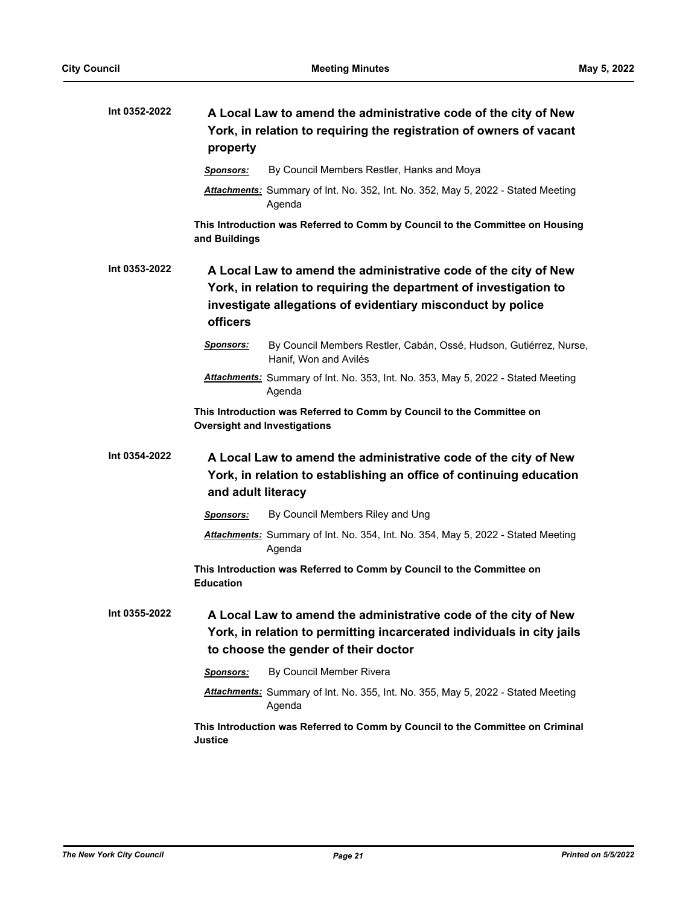| Int 0352-2022 | A Local Law to amend the administrative code of the city of New<br>York, in relation to requiring the registration of owners of vacant<br>property                                |
|---------------|-----------------------------------------------------------------------------------------------------------------------------------------------------------------------------------|
|               | By Council Members Restler, Hanks and Moya<br><b>Sponsors:</b>                                                                                                                    |
|               | Attachments: Summary of Int. No. 352, Int. No. 352, May 5, 2022 - Stated Meeting<br>Agenda                                                                                        |
|               | This Introduction was Referred to Comm by Council to the Committee on Housing<br>and Buildings                                                                                    |
| Int 0353-2022 | A Local Law to amend the administrative code of the city of New                                                                                                                   |
|               | York, in relation to requiring the department of investigation to                                                                                                                 |
|               | investigate allegations of evidentiary misconduct by police<br><b>officers</b>                                                                                                    |
|               | Sponsors:<br>By Council Members Restler, Cabán, Ossé, Hudson, Gutiérrez, Nurse,<br>Hanif, Won and Avilés                                                                          |
|               | Attachments: Summary of Int. No. 353, Int. No. 353, May 5, 2022 - Stated Meeting<br>Agenda                                                                                        |
|               | This Introduction was Referred to Comm by Council to the Committee on<br><b>Oversight and Investigations</b>                                                                      |
| Int 0354-2022 | A Local Law to amend the administrative code of the city of New<br>York, in relation to establishing an office of continuing education<br>and adult literacy                      |
|               | By Council Members Riley and Ung<br><b>Sponsors:</b>                                                                                                                              |
|               | Attachments: Summary of Int. No. 354, Int. No. 354, May 5, 2022 - Stated Meeting<br>Agenda                                                                                        |
|               | This Introduction was Referred to Comm by Council to the Committee on<br><b>Education</b>                                                                                         |
| Int 0355-2022 | A Local Law to amend the administrative code of the city of New<br>York, in relation to permitting incarcerated individuals in city jails<br>to choose the gender of their doctor |
|               | By Council Member Rivera<br>Sponsors:                                                                                                                                             |
|               | Attachments: Summary of Int. No. 355, Int. No. 355, May 5, 2022 - Stated Meeting<br>Agenda                                                                                        |
|               | This Introduction was Referred to Comm by Council to the Committee on Criminal<br><b>Justice</b>                                                                                  |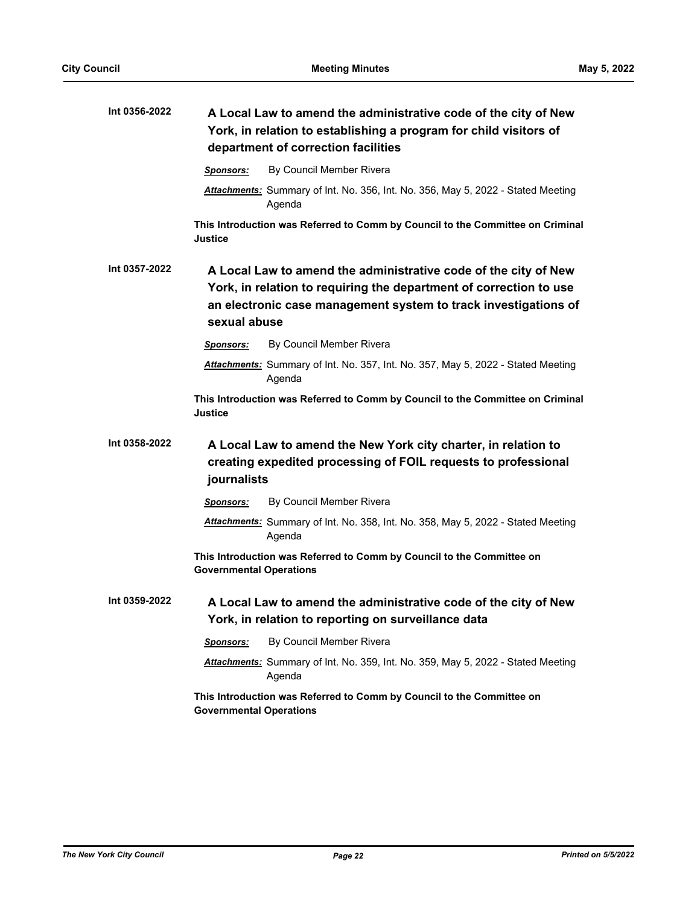| Int 0356-2022 | A Local Law to amend the administrative code of the city of New<br>York, in relation to establishing a program for child visitors of<br>department of correction facilities                                              |  |
|---------------|--------------------------------------------------------------------------------------------------------------------------------------------------------------------------------------------------------------------------|--|
|               | By Council Member Rivera<br>Sponsors:                                                                                                                                                                                    |  |
|               | Attachments: Summary of Int. No. 356, Int. No. 356, May 5, 2022 - Stated Meeting<br>Agenda                                                                                                                               |  |
|               | This Introduction was Referred to Comm by Council to the Committee on Criminal<br>Justice                                                                                                                                |  |
| Int 0357-2022 | A Local Law to amend the administrative code of the city of New<br>York, in relation to requiring the department of correction to use<br>an electronic case management system to track investigations of<br>sexual abuse |  |
|               | By Council Member Rivera<br><b>Sponsors:</b>                                                                                                                                                                             |  |
|               | Attachments: Summary of Int. No. 357, Int. No. 357, May 5, 2022 - Stated Meeting<br>Agenda                                                                                                                               |  |
|               | This Introduction was Referred to Comm by Council to the Committee on Criminal<br>Justice                                                                                                                                |  |
| Int 0358-2022 | A Local Law to amend the New York city charter, in relation to<br>creating expedited processing of FOIL requests to professional<br>journalists                                                                          |  |
|               | By Council Member Rivera<br><b>Sponsors:</b>                                                                                                                                                                             |  |
|               | Attachments: Summary of Int. No. 358, Int. No. 358, May 5, 2022 - Stated Meeting<br>Agenda                                                                                                                               |  |
|               | This Introduction was Referred to Comm by Council to the Committee on<br><b>Governmental Operations</b>                                                                                                                  |  |
| Int 0359-2022 | A Local Law to amend the administrative code of the city of New<br>York, in relation to reporting on surveillance data                                                                                                   |  |
|               | By Council Member Rivera<br>Sponsors:                                                                                                                                                                                    |  |
|               | Attachments: Summary of Int. No. 359, Int. No. 359, May 5, 2022 - Stated Meeting<br>Agenda                                                                                                                               |  |
|               | This Introduction was Referred to Comm by Council to the Committee on<br><b>Governmental Operations</b>                                                                                                                  |  |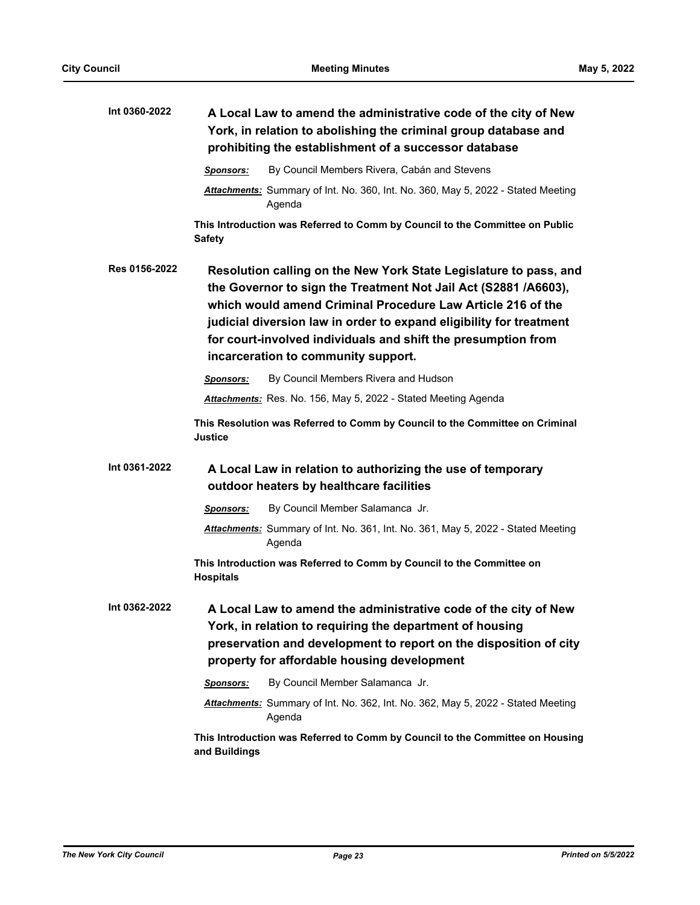| Int 0360-2022 | A Local Law to amend the administrative code of the city of New<br>York, in relation to abolishing the criminal group database and<br>prohibiting the establishment of a successor database                                                                                                                                                                                        |
|---------------|------------------------------------------------------------------------------------------------------------------------------------------------------------------------------------------------------------------------------------------------------------------------------------------------------------------------------------------------------------------------------------|
|               | By Council Members Rivera, Cabán and Stevens<br>Sponsors:                                                                                                                                                                                                                                                                                                                          |
|               | <b>Attachments:</b> Summary of Int. No. 360, Int. No. 360, May 5, 2022 - Stated Meeting<br>Agenda                                                                                                                                                                                                                                                                                  |
|               | This Introduction was Referred to Comm by Council to the Committee on Public<br><b>Safety</b>                                                                                                                                                                                                                                                                                      |
| Res 0156-2022 | Resolution calling on the New York State Legislature to pass, and<br>the Governor to sign the Treatment Not Jail Act (S2881 /A6603),<br>which would amend Criminal Procedure Law Article 216 of the<br>judicial diversion law in order to expand eligibility for treatment<br>for court-involved individuals and shift the presumption from<br>incarceration to community support. |
|               | By Council Members Rivera and Hudson<br>Sponsors:                                                                                                                                                                                                                                                                                                                                  |
|               | Attachments: Res. No. 156, May 5, 2022 - Stated Meeting Agenda                                                                                                                                                                                                                                                                                                                     |
|               | This Resolution was Referred to Comm by Council to the Committee on Criminal<br><b>Justice</b>                                                                                                                                                                                                                                                                                     |
| Int 0361-2022 | A Local Law in relation to authorizing the use of temporary<br>outdoor heaters by healthcare facilities                                                                                                                                                                                                                                                                            |
|               | By Council Member Salamanca Jr.<br><b>Sponsors:</b>                                                                                                                                                                                                                                                                                                                                |
|               | Attachments: Summary of Int. No. 361, Int. No. 361, May 5, 2022 - Stated Meeting<br>Agenda                                                                                                                                                                                                                                                                                         |
|               | This Introduction was Referred to Comm by Council to the Committee on<br><b>Hospitals</b>                                                                                                                                                                                                                                                                                          |
| Int 0362-2022 | A Local Law to amend the administrative code of the city of New<br>York, in relation to requiring the department of housing<br>preservation and development to report on the disposition of city<br>property for affordable housing development                                                                                                                                    |
|               | By Council Member Salamanca Jr.<br><b>Sponsors:</b>                                                                                                                                                                                                                                                                                                                                |
|               | Attachments: Summary of Int. No. 362, Int. No. 362, May 5, 2022 - Stated Meeting<br>Agenda                                                                                                                                                                                                                                                                                         |
|               | This Introduction was Referred to Comm by Council to the Committee on Housing<br>and Buildings                                                                                                                                                                                                                                                                                     |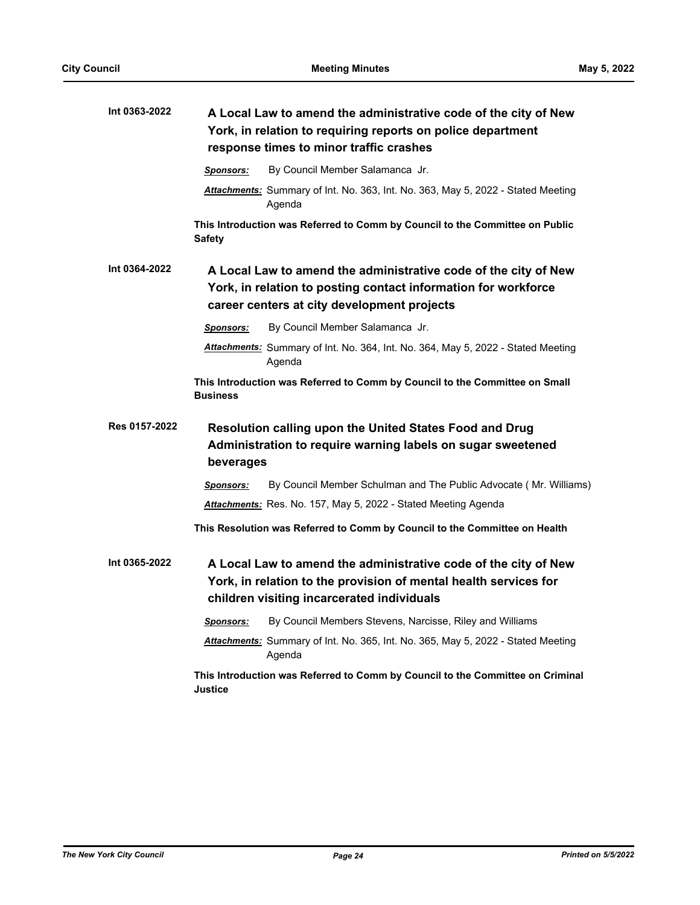| Int 0363-2022 |                  | A Local Law to amend the administrative code of the city of New<br>York, in relation to requiring reports on police department<br>response times to minor traffic crashes         |
|---------------|------------------|-----------------------------------------------------------------------------------------------------------------------------------------------------------------------------------|
|               | <b>Sponsors:</b> | By Council Member Salamanca Jr.                                                                                                                                                   |
|               |                  | Attachments: Summary of Int. No. 363, Int. No. 363, May 5, 2022 - Stated Meeting<br>Agenda                                                                                        |
|               | <b>Safety</b>    | This Introduction was Referred to Comm by Council to the Committee on Public                                                                                                      |
| Int 0364-2022 |                  | A Local Law to amend the administrative code of the city of New<br>York, in relation to posting contact information for workforce<br>career centers at city development projects  |
|               | <b>Sponsors:</b> | By Council Member Salamanca Jr.                                                                                                                                                   |
|               |                  | Attachments: Summary of Int. No. 364, Int. No. 364, May 5, 2022 - Stated Meeting<br>Agenda                                                                                        |
|               | <b>Business</b>  | This Introduction was Referred to Comm by Council to the Committee on Small                                                                                                       |
| Res 0157-2022 | beverages        | <b>Resolution calling upon the United States Food and Drug</b><br>Administration to require warning labels on sugar sweetened                                                     |
|               | <b>Sponsors:</b> | By Council Member Schulman and The Public Advocate (Mr. Williams)                                                                                                                 |
|               |                  | Attachments: Res. No. 157, May 5, 2022 - Stated Meeting Agenda                                                                                                                    |
|               |                  | This Resolution was Referred to Comm by Council to the Committee on Health                                                                                                        |
| Int 0365-2022 |                  | A Local Law to amend the administrative code of the city of New<br>York, in relation to the provision of mental health services for<br>children visiting incarcerated individuals |
|               | <b>Sponsors:</b> | By Council Members Stevens, Narcisse, Riley and Williams                                                                                                                          |
|               |                  | Attachments: Summary of Int. No. 365, Int. No. 365, May 5, 2022 - Stated Meeting<br>Agenda                                                                                        |
|               | <b>Justice</b>   | This Introduction was Referred to Comm by Council to the Committee on Criminal                                                                                                    |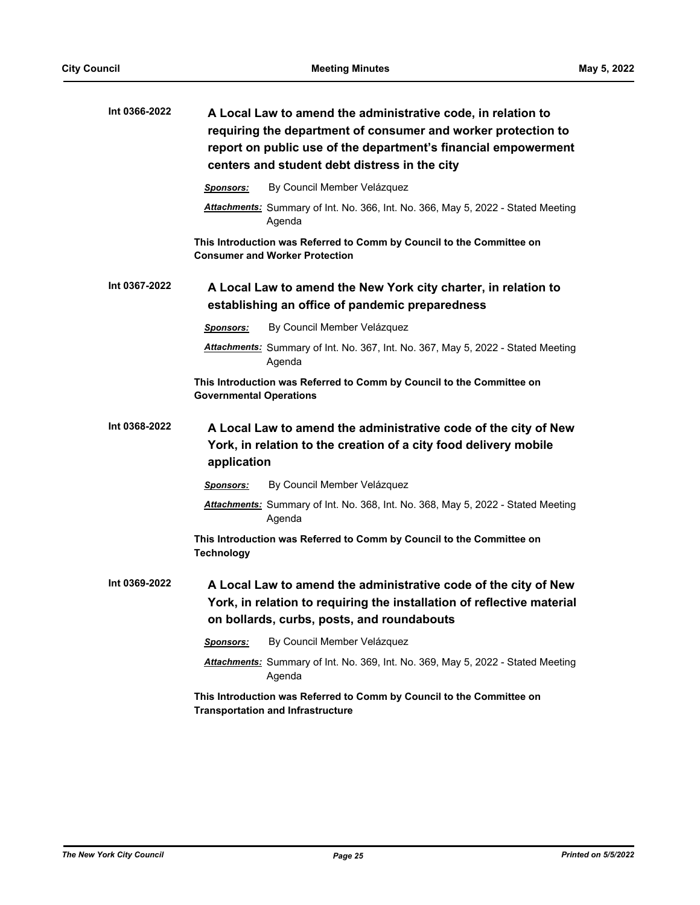| Int 0366-2022 | A Local Law to amend the administrative code, in relation to<br>requiring the department of consumer and worker protection to<br>report on public use of the department's financial empowerment<br>centers and student debt distress in the city |
|---------------|--------------------------------------------------------------------------------------------------------------------------------------------------------------------------------------------------------------------------------------------------|
|               | By Council Member Velázquez<br><b>Sponsors:</b>                                                                                                                                                                                                  |
|               | Attachments: Summary of Int. No. 366, Int. No. 366, May 5, 2022 - Stated Meeting<br>Agenda                                                                                                                                                       |
|               | This Introduction was Referred to Comm by Council to the Committee on<br><b>Consumer and Worker Protection</b>                                                                                                                                   |
| Int 0367-2022 | A Local Law to amend the New York city charter, in relation to<br>establishing an office of pandemic preparedness                                                                                                                                |
|               | By Council Member Velázquez<br><b>Sponsors:</b>                                                                                                                                                                                                  |
|               | Attachments: Summary of Int. No. 367, Int. No. 367, May 5, 2022 - Stated Meeting<br>Agenda                                                                                                                                                       |
|               | This Introduction was Referred to Comm by Council to the Committee on<br><b>Governmental Operations</b>                                                                                                                                          |
| Int 0368-2022 | A Local Law to amend the administrative code of the city of New<br>York, in relation to the creation of a city food delivery mobile<br>application                                                                                               |
|               | By Council Member Velázquez<br><b>Sponsors:</b>                                                                                                                                                                                                  |
|               | Attachments: Summary of Int. No. 368, Int. No. 368, May 5, 2022 - Stated Meeting<br>Agenda                                                                                                                                                       |
|               | This Introduction was Referred to Comm by Council to the Committee on<br><b>Technology</b>                                                                                                                                                       |
| Int 0369-2022 | A Local Law to amend the administrative code of the city of New<br>York, in relation to requiring the installation of reflective material<br>on bollards, curbs, posts, and roundabouts                                                          |
|               | By Council Member Velázquez<br>Sponsors:                                                                                                                                                                                                         |
|               | Attachments: Summary of Int. No. 369, Int. No. 369, May 5, 2022 - Stated Meeting<br>Agenda                                                                                                                                                       |
|               | This Introduction was Referred to Comm by Council to the Committee on<br><b>Transportation and Infrastructure</b>                                                                                                                                |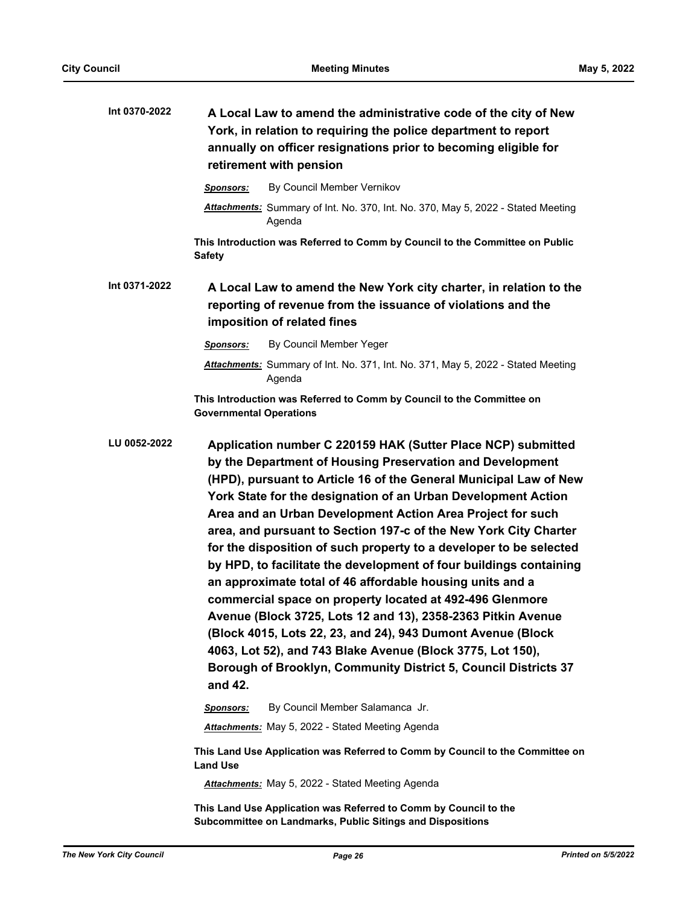| Int 0370-2022 | A Local Law to amend the administrative code of the city of New<br>York, in relation to requiring the police department to report<br>annually on officer resignations prior to becoming eligible for<br>retirement with pension                                                                                                                                                                                                                                                                                                                                                                                                                                                                                                                                                                                                                                                                                                                   |  |
|---------------|---------------------------------------------------------------------------------------------------------------------------------------------------------------------------------------------------------------------------------------------------------------------------------------------------------------------------------------------------------------------------------------------------------------------------------------------------------------------------------------------------------------------------------------------------------------------------------------------------------------------------------------------------------------------------------------------------------------------------------------------------------------------------------------------------------------------------------------------------------------------------------------------------------------------------------------------------|--|
|               | By Council Member Vernikov<br><b>Sponsors:</b>                                                                                                                                                                                                                                                                                                                                                                                                                                                                                                                                                                                                                                                                                                                                                                                                                                                                                                    |  |
|               | Attachments: Summary of Int. No. 370, Int. No. 370, May 5, 2022 - Stated Meeting<br>Agenda                                                                                                                                                                                                                                                                                                                                                                                                                                                                                                                                                                                                                                                                                                                                                                                                                                                        |  |
|               | This Introduction was Referred to Comm by Council to the Committee on Public<br><b>Safety</b>                                                                                                                                                                                                                                                                                                                                                                                                                                                                                                                                                                                                                                                                                                                                                                                                                                                     |  |
| Int 0371-2022 | A Local Law to amend the New York city charter, in relation to the<br>reporting of revenue from the issuance of violations and the<br>imposition of related fines                                                                                                                                                                                                                                                                                                                                                                                                                                                                                                                                                                                                                                                                                                                                                                                 |  |
|               | By Council Member Yeger<br>Sponsors:                                                                                                                                                                                                                                                                                                                                                                                                                                                                                                                                                                                                                                                                                                                                                                                                                                                                                                              |  |
|               | Attachments: Summary of Int. No. 371, Int. No. 371, May 5, 2022 - Stated Meeting<br>Agenda                                                                                                                                                                                                                                                                                                                                                                                                                                                                                                                                                                                                                                                                                                                                                                                                                                                        |  |
|               | This Introduction was Referred to Comm by Council to the Committee on<br><b>Governmental Operations</b>                                                                                                                                                                                                                                                                                                                                                                                                                                                                                                                                                                                                                                                                                                                                                                                                                                           |  |
| LU 0052-2022  | Application number C 220159 HAK (Sutter Place NCP) submitted<br>by the Department of Housing Preservation and Development<br>(HPD), pursuant to Article 16 of the General Municipal Law of New<br>York State for the designation of an Urban Development Action<br>Area and an Urban Development Action Area Project for such<br>area, and pursuant to Section 197-c of the New York City Charter<br>for the disposition of such property to a developer to be selected<br>by HPD, to facilitate the development of four buildings containing<br>an approximate total of 46 affordable housing units and a<br>commercial space on property located at 492-496 Glenmore<br>Avenue (Block 3725, Lots 12 and 13), 2358-2363 Pitkin Avenue<br>(Block 4015, Lots 22, 23, and 24), 943 Dumont Avenue (Block<br>4063, Lot 52), and 743 Blake Avenue (Block 3775, Lot 150),<br>Borough of Brooklyn, Community District 5, Council Districts 37<br>and 42. |  |
|               | By Council Member Salamanca Jr.<br><b>Sponsors:</b>                                                                                                                                                                                                                                                                                                                                                                                                                                                                                                                                                                                                                                                                                                                                                                                                                                                                                               |  |
|               | <b>Attachments:</b> May 5, 2022 - Stated Meeting Agenda                                                                                                                                                                                                                                                                                                                                                                                                                                                                                                                                                                                                                                                                                                                                                                                                                                                                                           |  |
|               | This Land Use Application was Referred to Comm by Council to the Committee on<br><b>Land Use</b>                                                                                                                                                                                                                                                                                                                                                                                                                                                                                                                                                                                                                                                                                                                                                                                                                                                  |  |
|               | Attachments: May 5, 2022 - Stated Meeting Agenda                                                                                                                                                                                                                                                                                                                                                                                                                                                                                                                                                                                                                                                                                                                                                                                                                                                                                                  |  |
|               | This Land Use Application was Referred to Comm by Council to the<br>Subcommittee on Landmarks, Public Sitings and Dispositions                                                                                                                                                                                                                                                                                                                                                                                                                                                                                                                                                                                                                                                                                                                                                                                                                    |  |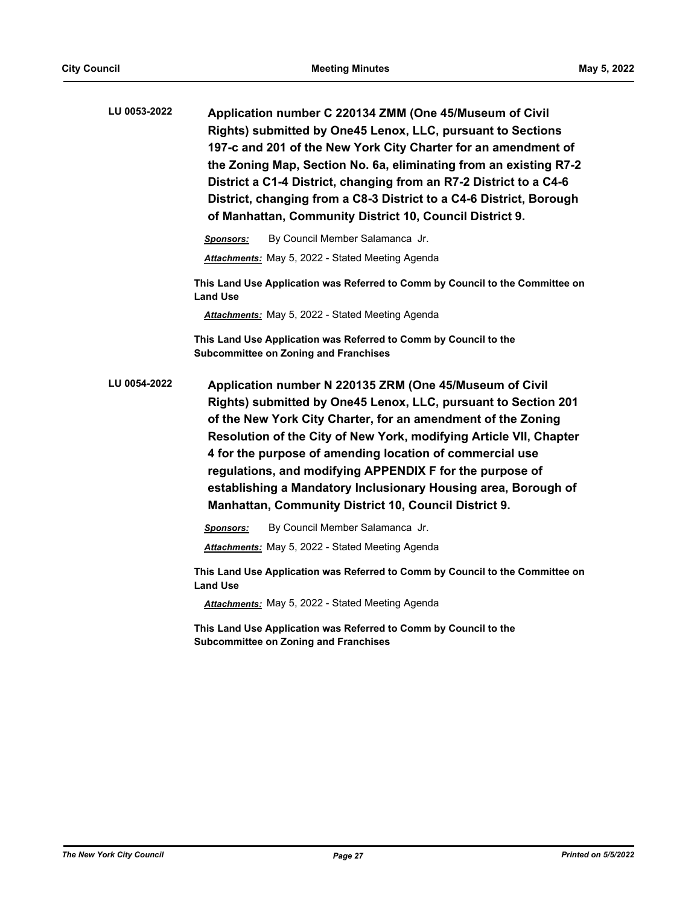| LU 0053-2022 | Application number C 220134 ZMM (One 45/Museum of Civil<br>Rights) submitted by One45 Lenox, LLC, pursuant to Sections<br>197-c and 201 of the New York City Charter for an amendment of<br>the Zoning Map, Section No. 6a, eliminating from an existing R7-2<br>District a C1-4 District, changing from an R7-2 District to a C4-6<br>District, changing from a C8-3 District to a C4-6 District, Borough<br>of Manhattan, Community District 10, Council District 9.                                                    |  |
|--------------|---------------------------------------------------------------------------------------------------------------------------------------------------------------------------------------------------------------------------------------------------------------------------------------------------------------------------------------------------------------------------------------------------------------------------------------------------------------------------------------------------------------------------|--|
|              | By Council Member Salamanca Jr.<br><b>Sponsors:</b>                                                                                                                                                                                                                                                                                                                                                                                                                                                                       |  |
|              | Attachments: May 5, 2022 - Stated Meeting Agenda                                                                                                                                                                                                                                                                                                                                                                                                                                                                          |  |
|              | This Land Use Application was Referred to Comm by Council to the Committee on<br><b>Land Use</b>                                                                                                                                                                                                                                                                                                                                                                                                                          |  |
|              | <b>Attachments:</b> May 5, 2022 - Stated Meeting Agenda                                                                                                                                                                                                                                                                                                                                                                                                                                                                   |  |
|              | This Land Use Application was Referred to Comm by Council to the<br><b>Subcommittee on Zoning and Franchises</b>                                                                                                                                                                                                                                                                                                                                                                                                          |  |
| LU 0054-2022 | Application number N 220135 ZRM (One 45/Museum of Civil<br>Rights) submitted by One45 Lenox, LLC, pursuant to Section 201<br>of the New York City Charter, for an amendment of the Zoning<br>Resolution of the City of New York, modifying Article VII, Chapter<br>4 for the purpose of amending location of commercial use<br>regulations, and modifying APPENDIX F for the purpose of<br>establishing a Mandatory Inclusionary Housing area, Borough of<br><b>Manhattan, Community District 10, Council District 9.</b> |  |
|              | By Council Member Salamanca Jr.<br><b>Sponsors:</b>                                                                                                                                                                                                                                                                                                                                                                                                                                                                       |  |
|              | Attachments: May 5, 2022 - Stated Meeting Agenda                                                                                                                                                                                                                                                                                                                                                                                                                                                                          |  |
|              | This Land Use Application was Referred to Comm by Council to the Committee on                                                                                                                                                                                                                                                                                                                                                                                                                                             |  |

**Land Use**

*Attachments:* May 5, 2022 - Stated Meeting Agenda

**This Land Use Application was Referred to Comm by Council to the Subcommittee on Zoning and Franchises**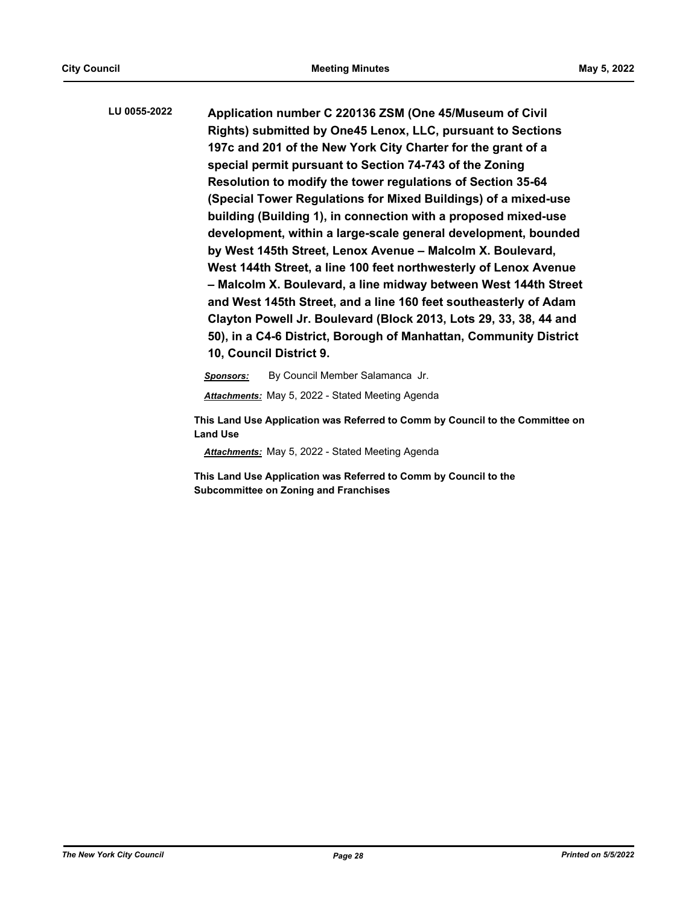**Application number C 220136 ZSM (One 45/Museum of Civil Rights) submitted by One45 Lenox, LLC, pursuant to Sections 197c and 201 of the New York City Charter for the grant of a special permit pursuant to Section 74-743 of the Zoning Resolution to modify the tower regulations of Section 35-64 (Special Tower Regulations for Mixed Buildings) of a mixed-use building (Building 1), in connection with a proposed mixed-use development, within a large-scale general development, bounded by West 145th Street, Lenox Avenue – Malcolm X. Boulevard, West 144th Street, a line 100 feet northwesterly of Lenox Avenue – Malcolm X. Boulevard, a line midway between West 144th Street and West 145th Street, and a line 160 feet southeasterly of Adam Clayton Powell Jr. Boulevard (Block 2013, Lots 29, 33, 38, 44 and 50), in a C4-6 District, Borough of Manhattan, Community District 10, Council District 9. LU 0055-2022**

> *Sponsors:* By Council Member Salamanca Jr. *Attachments:* May 5, 2022 - Stated Meeting Agenda

**This Land Use Application was Referred to Comm by Council to the Committee on Land Use**

*Attachments:* May 5, 2022 - Stated Meeting Agenda

**This Land Use Application was Referred to Comm by Council to the Subcommittee on Zoning and Franchises**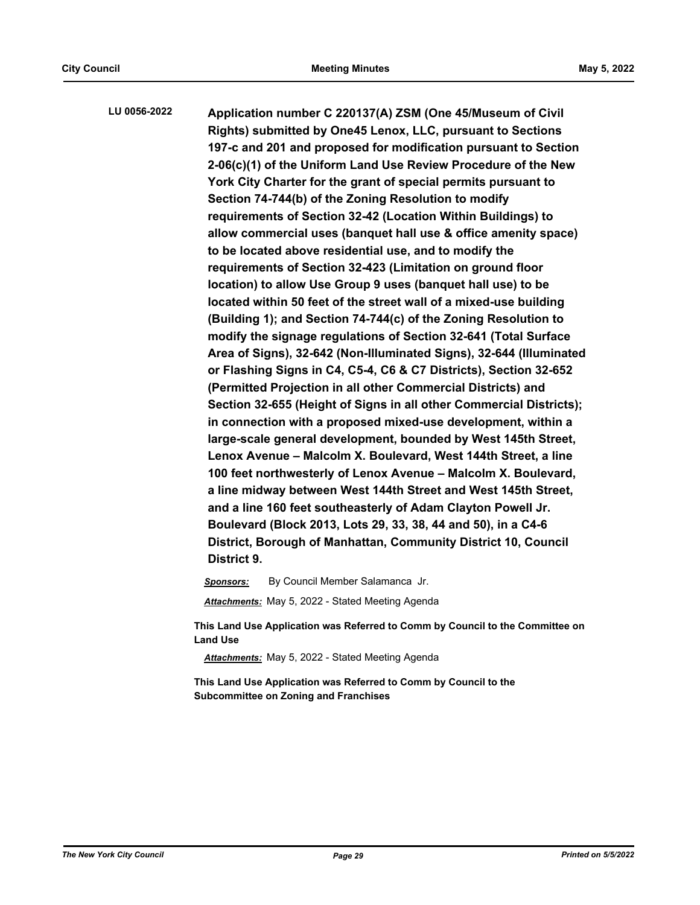**Application number C 220137(A) ZSM (One 45/Museum of Civil Rights) submitted by One45 Lenox, LLC, pursuant to Sections 197-c and 201 and proposed for modification pursuant to Section 2-06(c)(1) of the Uniform Land Use Review Procedure of the New York City Charter for the grant of special permits pursuant to Section 74-744(b) of the Zoning Resolution to modify requirements of Section 32-42 (Location Within Buildings) to allow commercial uses (banquet hall use & office amenity space) to be located above residential use, and to modify the requirements of Section 32-423 (Limitation on ground floor location) to allow Use Group 9 uses (banquet hall use) to be located within 50 feet of the street wall of a mixed-use building (Building 1); and Section 74-744(c) of the Zoning Resolution to modify the signage regulations of Section 32-641 (Total Surface Area of Signs), 32-642 (Non-Illuminated Signs), 32-644 (Illuminated or Flashing Signs in C4, C5-4, C6 & C7 Districts), Section 32-652 (Permitted Projection in all other Commercial Districts) and Section 32-655 (Height of Signs in all other Commercial Districts); in connection with a proposed mixed-use development, within a large-scale general development, bounded by West 145th Street, Lenox Avenue – Malcolm X. Boulevard, West 144th Street, a line 100 feet northwesterly of Lenox Avenue – Malcolm X. Boulevard, a line midway between West 144th Street and West 145th Street, and a line 160 feet southeasterly of Adam Clayton Powell Jr. Boulevard (Block 2013, Lots 29, 33, 38, 44 and 50), in a C4-6 District, Borough of Manhattan, Community District 10, Council District 9. LU 0056-2022**

*Sponsors:* By Council Member Salamanca Jr.

*Attachments:* May 5, 2022 - Stated Meeting Agenda

**This Land Use Application was Referred to Comm by Council to the Committee on Land Use**

*Attachments:* May 5, 2022 - Stated Meeting Agenda

**This Land Use Application was Referred to Comm by Council to the Subcommittee on Zoning and Franchises**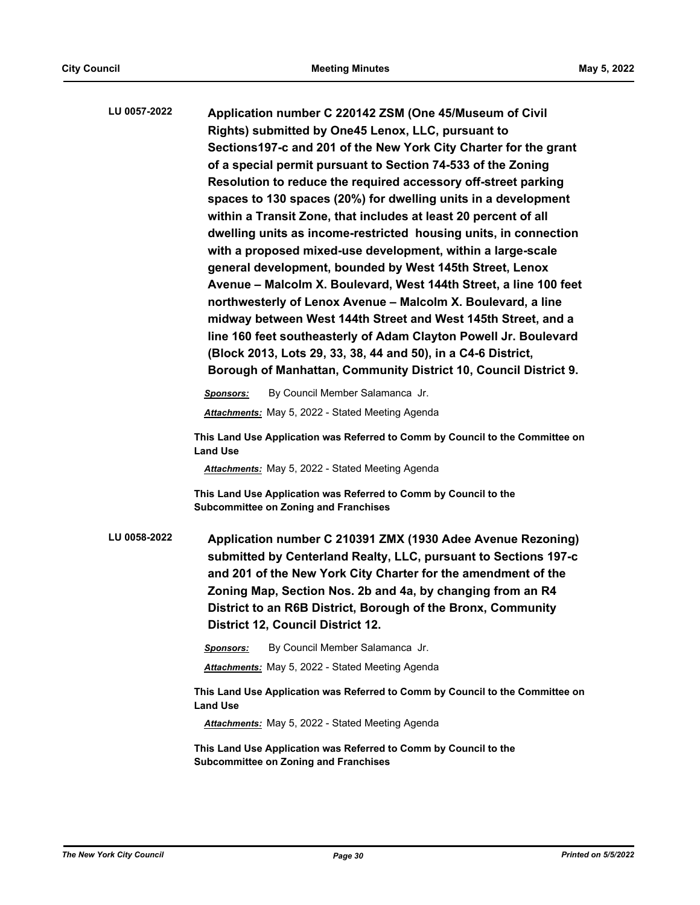| LU 0057-2022 | Application number C 220142 ZSM (One 45/Museum of Civil<br>Rights) submitted by One45 Lenox, LLC, pursuant to<br>Sections 197-c and 201 of the New York City Charter for the grant<br>of a special permit pursuant to Section 74-533 of the Zoning<br>Resolution to reduce the required accessory off-street parking<br>spaces to 130 spaces (20%) for dwelling units in a development<br>within a Transit Zone, that includes at least 20 percent of all<br>dwelling units as income-restricted housing units, in connection<br>with a proposed mixed-use development, within a large-scale<br>general development, bounded by West 145th Street, Lenox<br>Avenue - Malcolm X. Boulevard, West 144th Street, a line 100 feet<br>northwesterly of Lenox Avenue - Malcolm X. Boulevard, a line<br>midway between West 144th Street and West 145th Street, and a<br>line 160 feet southeasterly of Adam Clayton Powell Jr. Boulevard<br>(Block 2013, Lots 29, 33, 38, 44 and 50), in a C4-6 District,<br>Borough of Manhattan, Community District 10, Council District 9.<br>By Council Member Salamanca Jr. |
|--------------|------------------------------------------------------------------------------------------------------------------------------------------------------------------------------------------------------------------------------------------------------------------------------------------------------------------------------------------------------------------------------------------------------------------------------------------------------------------------------------------------------------------------------------------------------------------------------------------------------------------------------------------------------------------------------------------------------------------------------------------------------------------------------------------------------------------------------------------------------------------------------------------------------------------------------------------------------------------------------------------------------------------------------------------------------------------------------------------------------------|
|              | Sponsors:<br><b>Attachments:</b> May 5, 2022 - Stated Meeting Agenda                                                                                                                                                                                                                                                                                                                                                                                                                                                                                                                                                                                                                                                                                                                                                                                                                                                                                                                                                                                                                                       |
|              | This Land Use Application was Referred to Comm by Council to the Committee on<br><b>Land Use</b><br>Attachments: May 5, 2022 - Stated Meeting Agenda                                                                                                                                                                                                                                                                                                                                                                                                                                                                                                                                                                                                                                                                                                                                                                                                                                                                                                                                                       |
|              | This Land Use Application was Referred to Comm by Council to the<br><b>Subcommittee on Zoning and Franchises</b>                                                                                                                                                                                                                                                                                                                                                                                                                                                                                                                                                                                                                                                                                                                                                                                                                                                                                                                                                                                           |
| LU 0058-2022 | Application number C 210391 ZMX (1930 Adee Avenue Rezoning)<br>submitted by Centerland Realty, LLC, pursuant to Sections 197-c<br>and 201 of the New York City Charter for the amendment of the<br>Zoning Map, Section Nos. 2b and 4a, by changing from an R4<br>District to an R6B District, Borough of the Bronx, Community<br>District 12, Council District 12.                                                                                                                                                                                                                                                                                                                                                                                                                                                                                                                                                                                                                                                                                                                                         |
|              | By Council Member Salamanca Jr.<br>Sponsors:                                                                                                                                                                                                                                                                                                                                                                                                                                                                                                                                                                                                                                                                                                                                                                                                                                                                                                                                                                                                                                                               |
|              | Attachments: May 5, 2022 - Stated Meeting Agenda                                                                                                                                                                                                                                                                                                                                                                                                                                                                                                                                                                                                                                                                                                                                                                                                                                                                                                                                                                                                                                                           |
|              | This Land Use Application was Referred to Comm by Council to the Committee on<br><b>Land Use</b>                                                                                                                                                                                                                                                                                                                                                                                                                                                                                                                                                                                                                                                                                                                                                                                                                                                                                                                                                                                                           |
|              | <b>Attachments:</b> May 5, 2022 - Stated Meeting Agenda                                                                                                                                                                                                                                                                                                                                                                                                                                                                                                                                                                                                                                                                                                                                                                                                                                                                                                                                                                                                                                                    |
|              | This Land Use Application was Referred to Comm by Council to the<br><b>Subcommittee on Zoning and Franchises</b>                                                                                                                                                                                                                                                                                                                                                                                                                                                                                                                                                                                                                                                                                                                                                                                                                                                                                                                                                                                           |